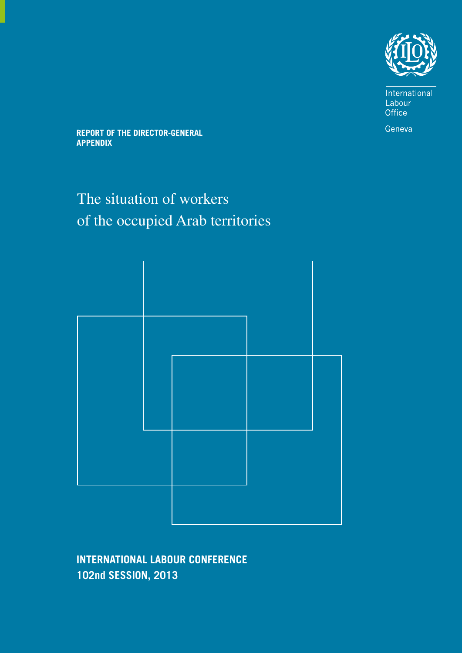

International Labour Office

Geneva

**REPORT OF THE DIRECTOR-GENERAL APPENDIX**

# The situation of workers of the occupied Arab territories



**INTERNATIONAL LABOUR CONFERENCE** 102nd SESSION, 2013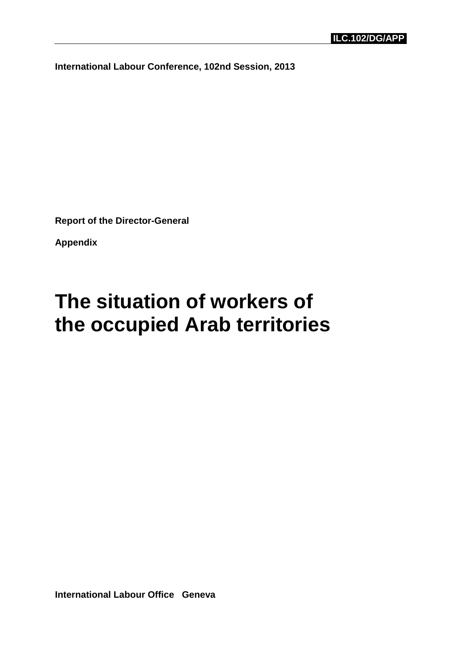**International Labour Conference, 102nd Session, 2013**

**Report of the Director-General** 

**Appendix** 

# **The situation of workers of the occupied Arab territories**

**International Labour Office Geneva**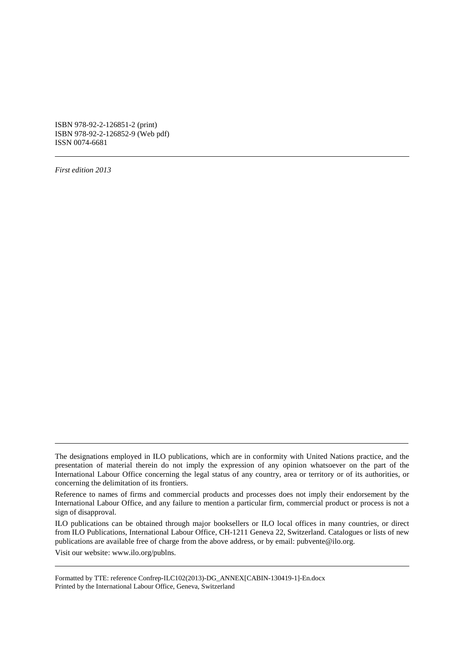ISBN 978-92-2-126851-2 (print) ISBN 978-92-2-126852-9 (Web pdf) ISSN 0074-6681

*First edition 2013* 

Visit our website: www.ilo.org/publns.

The designations employed in ILO publications, which are in conformity with United Nations practice, and the presentation of material therein do not imply the expression of any opinion whatsoever on the part of the International Labour Office concerning the legal status of any country, area or territory or of its authorities, or concerning the delimitation of its frontiers.

Reference to names of firms and commercial products and processes does not imply their endorsement by the International Labour Office, and any failure to mention a particular firm, commercial product or process is not a sign of disapproval.

ILO publications can be obtained through major booksellers or ILO local offices in many countries, or direct from ILO Publications, International Labour Office, CH-1211 Geneva 22, Switzerland. Catalogues or lists of new publications are available free of charge from the above address, or by email: pubvente@ilo.org.

Formatted by TTE: reference Confrep-ILC102(2013)-DG\_ANNEX[CABIN-130419-1]-En.docx Printed by the International Labour Office, Geneva, Switzerland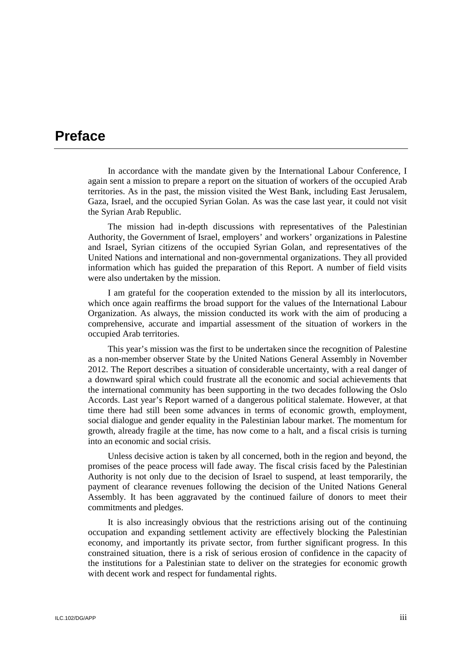# **Preface**

In accordance with the mandate given by the International Labour Conference, I again sent a mission to prepare a report on the situation of workers of the occupied Arab territories. As in the past, the mission visited the West Bank, including East Jerusalem, Gaza, Israel, and the occupied Syrian Golan. As was the case last year, it could not visit the Syrian Arab Republic.

The mission had in-depth discussions with representatives of the Palestinian Authority, the Government of Israel, employers' and workers' organizations in Palestine and Israel, Syrian citizens of the occupied Syrian Golan, and representatives of the United Nations and international and non-governmental organizations. They all provided information which has guided the preparation of this Report. A number of field visits were also undertaken by the mission.

I am grateful for the cooperation extended to the mission by all its interlocutors, which once again reaffirms the broad support for the values of the International Labour Organization. As always, the mission conducted its work with the aim of producing a comprehensive, accurate and impartial assessment of the situation of workers in the occupied Arab territories.

This year's mission was the first to be undertaken since the recognition of Palestine as a non-member observer State by the United Nations General Assembly in November 2012. The Report describes a situation of considerable uncertainty, with a real danger of a downward spiral which could frustrate all the economic and social achievements that the international community has been supporting in the two decades following the Oslo Accords. Last year's Report warned of a dangerous political stalemate. However, at that time there had still been some advances in terms of economic growth, employment, social dialogue and gender equality in the Palestinian labour market. The momentum for growth, already fragile at the time, has now come to a halt, and a fiscal crisis is turning into an economic and social crisis.

Unless decisive action is taken by all concerned, both in the region and beyond, the promises of the peace process will fade away. The fiscal crisis faced by the Palestinian Authority is not only due to the decision of Israel to suspend, at least temporarily, the payment of clearance revenues following the decision of the United Nations General Assembly. It has been aggravated by the continued failure of donors to meet their commitments and pledges.

It is also increasingly obvious that the restrictions arising out of the continuing occupation and expanding settlement activity are effectively blocking the Palestinian economy, and importantly its private sector, from further significant progress. In this constrained situation, there is a risk of serious erosion of confidence in the capacity of the institutions for a Palestinian state to deliver on the strategies for economic growth with decent work and respect for fundamental rights.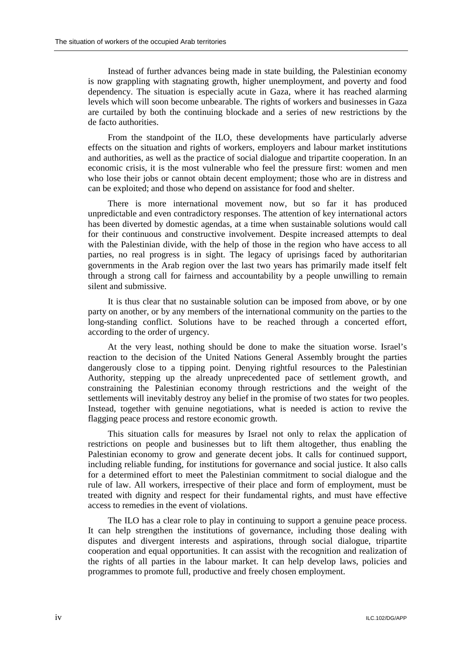Instead of further advances being made in state building, the Palestinian economy is now grappling with stagnating growth, higher unemployment, and poverty and food dependency. The situation is especially acute in Gaza, where it has reached alarming levels which will soon become unbearable. The rights of workers and businesses in Gaza are curtailed by both the continuing blockade and a series of new restrictions by the de facto authorities.

From the standpoint of the ILO, these developments have particularly adverse effects on the situation and rights of workers, employers and labour market institutions and authorities, as well as the practice of social dialogue and tripartite cooperation. In an economic crisis, it is the most vulnerable who feel the pressure first: women and men who lose their jobs or cannot obtain decent employment; those who are in distress and can be exploited; and those who depend on assistance for food and shelter.

There is more international movement now, but so far it has produced unpredictable and even contradictory responses. The attention of key international actors has been diverted by domestic agendas, at a time when sustainable solutions would call for their continuous and constructive involvement. Despite increased attempts to deal with the Palestinian divide, with the help of those in the region who have access to all parties, no real progress is in sight. The legacy of uprisings faced by authoritarian governments in the Arab region over the last two years has primarily made itself felt through a strong call for fairness and accountability by a people unwilling to remain silent and submissive.

It is thus clear that no sustainable solution can be imposed from above, or by one party on another, or by any members of the international community on the parties to the long-standing conflict. Solutions have to be reached through a concerted effort, according to the order of urgency.

At the very least, nothing should be done to make the situation worse. Israel's reaction to the decision of the United Nations General Assembly brought the parties dangerously close to a tipping point. Denying rightful resources to the Palestinian Authority, stepping up the already unprecedented pace of settlement growth, and constraining the Palestinian economy through restrictions and the weight of the settlements will inevitably destroy any belief in the promise of two states for two peoples. Instead, together with genuine negotiations, what is needed is action to revive the flagging peace process and restore economic growth.

This situation calls for measures by Israel not only to relax the application of restrictions on people and businesses but to lift them altogether, thus enabling the Palestinian economy to grow and generate decent jobs. It calls for continued support, including reliable funding, for institutions for governance and social justice. It also calls for a determined effort to meet the Palestinian commitment to social dialogue and the rule of law. All workers, irrespective of their place and form of employment, must be treated with dignity and respect for their fundamental rights, and must have effective access to remedies in the event of violations.

The ILO has a clear role to play in continuing to support a genuine peace process. It can help strengthen the institutions of governance, including those dealing with disputes and divergent interests and aspirations, through social dialogue, tripartite cooperation and equal opportunities. It can assist with the recognition and realization of the rights of all parties in the labour market. It can help develop laws, policies and programmes to promote full, productive and freely chosen employment.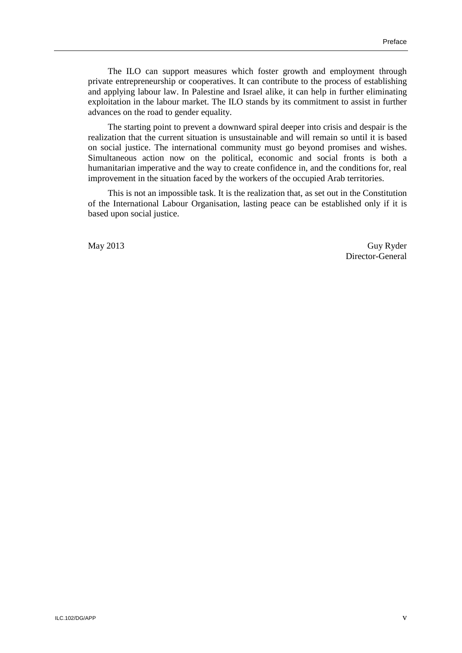The ILO can support measures which foster growth and employment through private entrepreneurship or cooperatives. It can contribute to the process of establishing and applying labour law. In Palestine and Israel alike, it can help in further eliminating exploitation in the labour market. The ILO stands by its commitment to assist in further advances on the road to gender equality.

The starting point to prevent a downward spiral deeper into crisis and despair is the realization that the current situation is unsustainable and will remain so until it is based on social justice. The international community must go beyond promises and wishes. Simultaneous action now on the political, economic and social fronts is both a humanitarian imperative and the way to create confidence in, and the conditions for, real improvement in the situation faced by the workers of the occupied Arab territories.

This is not an impossible task. It is the realization that, as set out in the Constitution of the International Labour Organisation, lasting peace can be established only if it is based upon social justice.

May 2013 Guy Ryder Director-General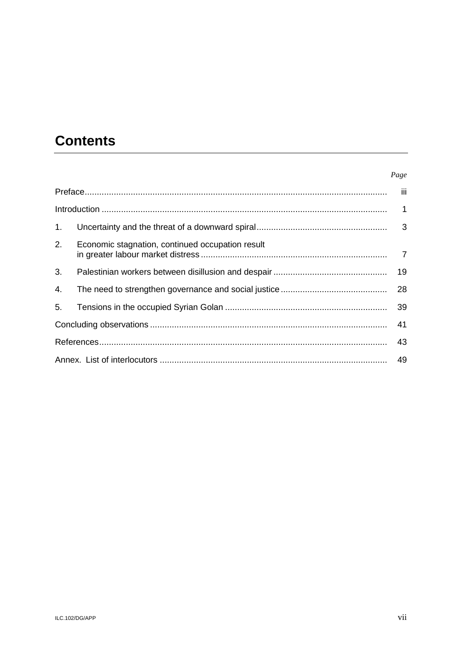# **Contents**

#### Page

| 1 <sub>1</sub> |                                                  |    |  |
|----------------|--------------------------------------------------|----|--|
| 2.             | Economic stagnation, continued occupation result |    |  |
| 3.             |                                                  | 19 |  |
| 4.             |                                                  |    |  |
| 5.             |                                                  |    |  |
|                |                                                  |    |  |
|                |                                                  | 43 |  |
|                |                                                  |    |  |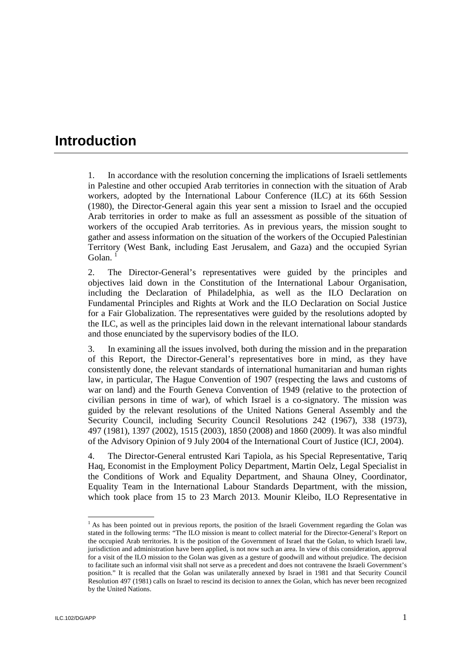# **Introduction**

1. In accordance with the resolution concerning the implications of Israeli settlements in Palestine and other occupied Arab territories in connection with the situation of Arab workers, adopted by the International Labour Conference (ILC) at its 66th Session (1980), the Director-General again this year sent a mission to Israel and the occupied Arab territories in order to make as full an assessment as possible of the situation of workers of the occupied Arab territories. As in previous years, the mission sought to gather and assess information on the situation of the workers of the Occupied Palestinian Territory (West Bank, including East Jerusalem, and Gaza) and the occupied Syrian Golan

2. The Director-General's representatives were guided by the principles and objectives laid down in the Constitution of the International Labour Organisation, including the Declaration of Philadelphia, as well as the ILO Declaration on Fundamental Principles and Rights at Work and the ILO Declaration on Social Justice for a Fair Globalization. The representatives were guided by the resolutions adopted by the ILC, as well as the principles laid down in the relevant international labour standards and those enunciated by the supervisory bodies of the ILO.

3. In examining all the issues involved, both during the mission and in the preparation of this Report, the Director-General's representatives bore in mind, as they have consistently done, the relevant standards of international humanitarian and human rights law, in particular, The Hague Convention of 1907 (respecting the laws and customs of war on land) and the Fourth Geneva Convention of 1949 (relative to the protection of civilian persons in time of war), of which Israel is a co-signatory. The mission was guided by the relevant resolutions of the United Nations General Assembly and the Security Council, including Security Council Resolutions 242 (1967), 338 (1973), 497 (1981), 1397 (2002), 1515 (2003), 1850 (2008) and 1860 (2009). It was also mindful of the Advisory Opinion of 9 July 2004 of the International Court of Justice (ICJ, 2004).

4. The Director-General entrusted Kari Tapiola, as his Special Representative, Tariq Haq, Economist in the Employment Policy Department, Martin Oelz, Legal Specialist in the Conditions of Work and Equality Department, and Shauna Olney, Coordinator, Equality Team in the International Labour Standards Department, with the mission, which took place from 15 to 23 March 2013. Mounir Kleibo, ILO Representative in

-

<sup>&</sup>lt;sup>1</sup> As has been pointed out in previous reports, the position of the Israeli Government regarding the Golan was stated in the following terms: "The ILO mission is meant to collect material for the Director-General's Report on the occupied Arab territories. It is the position of the Government of Israel that the Golan, to which Israeli law, jurisdiction and administration have been applied, is not now such an area. In view of this consideration, approval for a visit of the ILO mission to the Golan was given as a gesture of goodwill and without prejudice. The decision to facilitate such an informal visit shall not serve as a precedent and does not contravene the Israeli Government's position." It is recalled that the Golan was unilaterally annexed by Israel in 1981 and that Security Council Resolution 497 (1981) calls on Israel to rescind its decision to annex the Golan, which has never been recognized by the United Nations.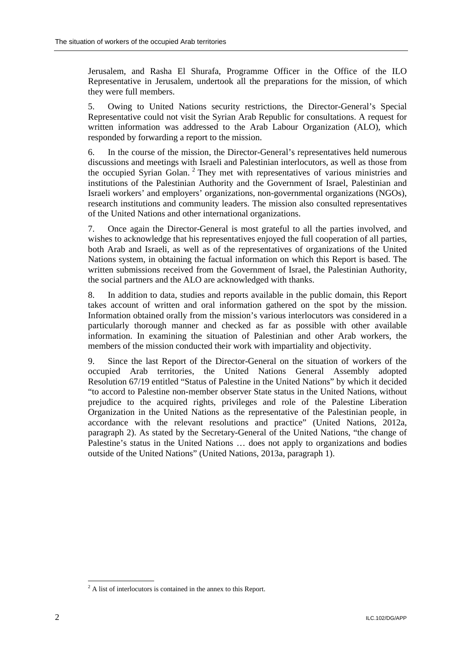Jerusalem, and Rasha El Shurafa, Programme Officer in the Office of the ILO Representative in Jerusalem, undertook all the preparations for the mission, of which they were full members.

5. Owing to United Nations security restrictions, the Director-General's Special Representative could not visit the Syrian Arab Republic for consultations. A request for written information was addressed to the Arab Labour Organization (ALO), which responded by forwarding a report to the mission.

6. In the course of the mission, the Director-General's representatives held numerous discussions and meetings with Israeli and Palestinian interlocutors, as well as those from the occupied Syrian Golan.<sup>2</sup> They met with representatives of various ministries and institutions of the Palestinian Authority and the Government of Israel, Palestinian and Israeli workers' and employers' organizations, non-governmental organizations (NGOs), research institutions and community leaders. The mission also consulted representatives of the United Nations and other international organizations.

7. Once again the Director-General is most grateful to all the parties involved, and wishes to acknowledge that his representatives enjoyed the full cooperation of all parties, both Arab and Israeli, as well as of the representatives of organizations of the United Nations system, in obtaining the factual information on which this Report is based. The written submissions received from the Government of Israel, the Palestinian Authority, the social partners and the ALO are acknowledged with thanks.

8. In addition to data, studies and reports available in the public domain, this Report takes account of written and oral information gathered on the spot by the mission. Information obtained orally from the mission's various interlocutors was considered in a particularly thorough manner and checked as far as possible with other available information. In examining the situation of Palestinian and other Arab workers, the members of the mission conducted their work with impartiality and objectivity.

9. Since the last Report of the Director-General on the situation of workers of the occupied Arab territories, the United Nations General Assembly adopted Resolution 67/19 entitled "Status of Palestine in the United Nations" by which it decided "to accord to Palestine non-member observer State status in the United Nations, without prejudice to the acquired rights, privileges and role of the Palestine Liberation Organization in the United Nations as the representative of the Palestinian people, in accordance with the relevant resolutions and practice" (United Nations, 2012a, paragraph 2). As stated by the Secretary-General of the United Nations, "the change of Palestine's status in the United Nations … does not apply to organizations and bodies outside of the United Nations" (United Nations, 2013a, paragraph 1).

 $\overline{a}$ 

 $2^2$  A list of interlocutors is contained in the annex to this Report.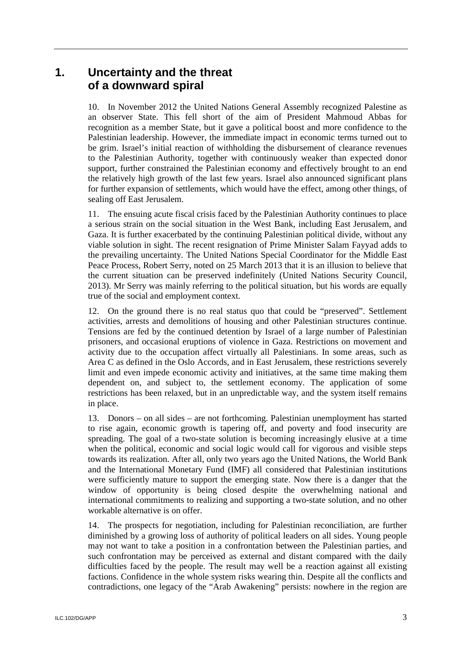# **1. Uncertainty and the threat of a downward spiral**

10. In November 2012 the United Nations General Assembly recognized Palestine as an observer State. This fell short of the aim of President Mahmoud Abbas for recognition as a member State, but it gave a political boost and more confidence to the Palestinian leadership. However, the immediate impact in economic terms turned out to be grim. Israel's initial reaction of withholding the disbursement of clearance revenues to the Palestinian Authority, together with continuously weaker than expected donor support, further constrained the Palestinian economy and effectively brought to an end the relatively high growth of the last few years. Israel also announced significant plans for further expansion of settlements, which would have the effect, among other things, of sealing off East Jerusalem.

11. The ensuing acute fiscal crisis faced by the Palestinian Authority continues to place a serious strain on the social situation in the West Bank, including East Jerusalem, and Gaza. It is further exacerbated by the continuing Palestinian political divide, without any viable solution in sight. The recent resignation of Prime Minister Salam Fayyad adds to the prevailing uncertainty. The United Nations Special Coordinator for the Middle East Peace Process, Robert Serry, noted on 25 March 2013 that it is an illusion to believe that the current situation can be preserved indefinitely (United Nations Security Council, 2013). Mr Serry was mainly referring to the political situation, but his words are equally true of the social and employment context.

12. On the ground there is no real status quo that could be "preserved". Settlement activities, arrests and demolitions of housing and other Palestinian structures continue. Tensions are fed by the continued detention by Israel of a large number of Palestinian prisoners, and occasional eruptions of violence in Gaza. Restrictions on movement and activity due to the occupation affect virtually all Palestinians. In some areas, such as Area C as defined in the Oslo Accords, and in East Jerusalem, these restrictions severely limit and even impede economic activity and initiatives, at the same time making them dependent on, and subject to, the settlement economy. The application of some restrictions has been relaxed, but in an unpredictable way, and the system itself remains in place.

13. Donors – on all sides – are not forthcoming. Palestinian unemployment has started to rise again, economic growth is tapering off, and poverty and food insecurity are spreading. The goal of a two-state solution is becoming increasingly elusive at a time when the political, economic and social logic would call for vigorous and visible steps towards its realization. After all, only two years ago the United Nations, the World Bank and the International Monetary Fund (IMF) all considered that Palestinian institutions were sufficiently mature to support the emerging state. Now there is a danger that the window of opportunity is being closed despite the overwhelming national and international commitments to realizing and supporting a two-state solution, and no other workable alternative is on offer.

14. The prospects for negotiation, including for Palestinian reconciliation, are further diminished by a growing loss of authority of political leaders on all sides. Young people may not want to take a position in a confrontation between the Palestinian parties, and such confrontation may be perceived as external and distant compared with the daily difficulties faced by the people. The result may well be a reaction against all existing factions. Confidence in the whole system risks wearing thin. Despite all the conflicts and contradictions, one legacy of the "Arab Awakening" persists: nowhere in the region are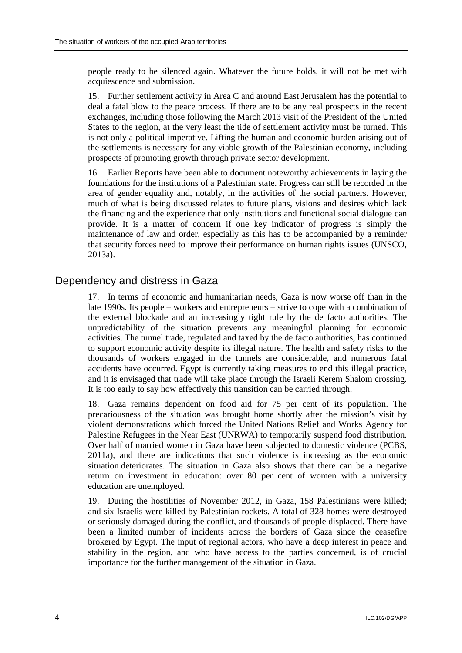people ready to be silenced again. Whatever the future holds, it will not be met with acquiescence and submission.

15. Further settlement activity in Area C and around East Jerusalem has the potential to deal a fatal blow to the peace process. If there are to be any real prospects in the recent exchanges, including those following the March 2013 visit of the President of the United States to the region, at the very least the tide of settlement activity must be turned. This is not only a political imperative. Lifting the human and economic burden arising out of the settlements is necessary for any viable growth of the Palestinian economy, including prospects of promoting growth through private sector development.

16. Earlier Reports have been able to document noteworthy achievements in laying the foundations for the institutions of a Palestinian state. Progress can still be recorded in the area of gender equality and, notably, in the activities of the social partners. However, much of what is being discussed relates to future plans, visions and desires which lack the financing and the experience that only institutions and functional social dialogue can provide. It is a matter of concern if one key indicator of progress is simply the maintenance of law and order, especially as this has to be accompanied by a reminder that security forces need to improve their performance on human rights issues (UNSCO, 2013a).

### Dependency and distress in Gaza

17. In terms of economic and humanitarian needs, Gaza is now worse off than in the late 1990s. Its people – workers and entrepreneurs – strive to cope with a combination of the external blockade and an increasingly tight rule by the de facto authorities. The unpredictability of the situation prevents any meaningful planning for economic activities. The tunnel trade, regulated and taxed by the de facto authorities, has continued to support economic activity despite its illegal nature. The health and safety risks to the thousands of workers engaged in the tunnels are considerable, and numerous fatal accidents have occurred. Egypt is currently taking measures to end this illegal practice, and it is envisaged that trade will take place through the Israeli Kerem Shalom crossing. It is too early to say how effectively this transition can be carried through.

18. Gaza remains dependent on food aid for 75 per cent of its population. The precariousness of the situation was brought home shortly after the mission's visit by violent demonstrations which forced the United Nations Relief and Works Agency for Palestine Refugees in the Near East (UNRWA) to temporarily suspend food distribution. Over half of married women in Gaza have been subjected to domestic violence (PCBS, 2011a), and there are indications that such violence is increasing as the economic situation deteriorates. The situation in Gaza also shows that there can be a negative return on investment in education: over 80 per cent of women with a university education are unemployed.

19. During the hostilities of November 2012, in Gaza, 158 Palestinians were killed; and six Israelis were killed by Palestinian rockets. A total of 328 homes were destroyed or seriously damaged during the conflict, and thousands of people displaced. There have been a limited number of incidents across the borders of Gaza since the ceasefire brokered by Egypt. The input of regional actors, who have a deep interest in peace and stability in the region, and who have access to the parties concerned, is of crucial importance for the further management of the situation in Gaza.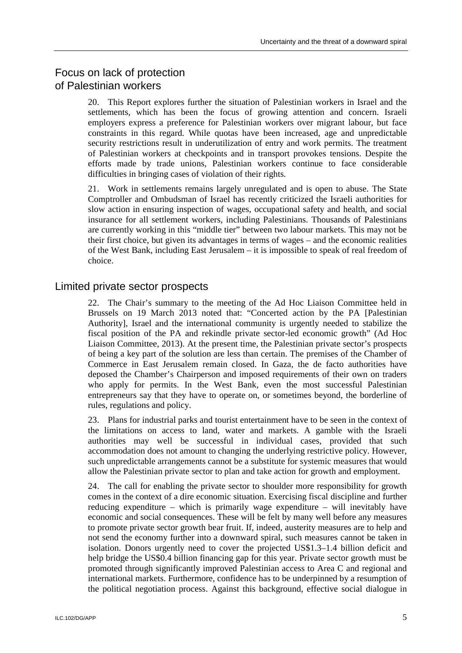# Focus on lack of protection of Palestinian workers

20. This Report explores further the situation of Palestinian workers in Israel and the settlements, which has been the focus of growing attention and concern. Israeli employers express a preference for Palestinian workers over migrant labour, but face constraints in this regard. While quotas have been increased, age and unpredictable security restrictions result in underutilization of entry and work permits. The treatment of Palestinian workers at checkpoints and in transport provokes tensions. Despite the efforts made by trade unions, Palestinian workers continue to face considerable difficulties in bringing cases of violation of their rights.

21. Work in settlements remains largely unregulated and is open to abuse. The State Comptroller and Ombudsman of Israel has recently criticized the Israeli authorities for slow action in ensuring inspection of wages, occupational safety and health, and social insurance for all settlement workers, including Palestinians. Thousands of Palestinians are currently working in this "middle tier" between two labour markets. This may not be their first choice, but given its advantages in terms of wages – and the economic realities of the West Bank, including East Jerusalem – it is impossible to speak of real freedom of choice.

### Limited private sector prospects

22. The Chair's summary to the meeting of the Ad Hoc Liaison Committee held in Brussels on 19 March 2013 noted that: "Concerted action by the PA [Palestinian Authority], Israel and the international community is urgently needed to stabilize the fiscal position of the PA and rekindle private sector-led economic growth" (Ad Hoc Liaison Committee, 2013). At the present time, the Palestinian private sector's prospects of being a key part of the solution are less than certain. The premises of the Chamber of Commerce in East Jerusalem remain closed. In Gaza, the de facto authorities have deposed the Chamber's Chairperson and imposed requirements of their own on traders who apply for permits. In the West Bank, even the most successful Palestinian entrepreneurs say that they have to operate on, or sometimes beyond, the borderline of rules, regulations and policy.

23. Plans for industrial parks and tourist entertainment have to be seen in the context of the limitations on access to land, water and markets. A gamble with the Israeli authorities may well be successful in individual cases, provided that such accommodation does not amount to changing the underlying restrictive policy. However, such unpredictable arrangements cannot be a substitute for systemic measures that would allow the Palestinian private sector to plan and take action for growth and employment.

24. The call for enabling the private sector to shoulder more responsibility for growth comes in the context of a dire economic situation. Exercising fiscal discipline and further reducing expenditure – which is primarily wage expenditure – will inevitably have economic and social consequences. These will be felt by many well before any measures to promote private sector growth bear fruit. If, indeed, austerity measures are to help and not send the economy further into a downward spiral, such measures cannot be taken in isolation. Donors urgently need to cover the projected US\$1.3–1.4 billion deficit and help bridge the US\$0.4 billion financing gap for this year. Private sector growth must be promoted through significantly improved Palestinian access to Area C and regional and international markets. Furthermore, confidence has to be underpinned by a resumption of the political negotiation process. Against this background, effective social dialogue in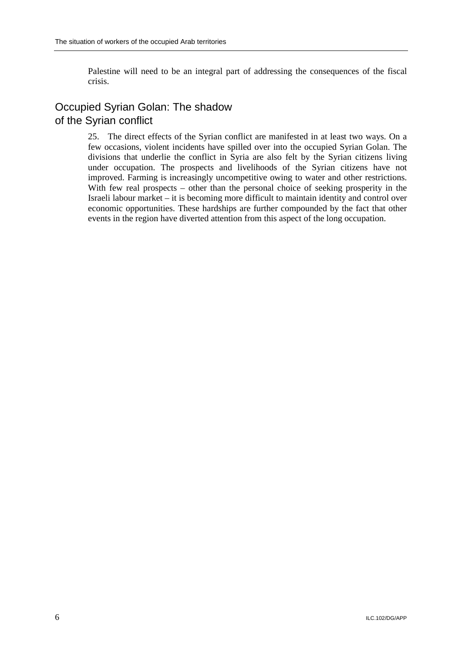Palestine will need to be an integral part of addressing the consequences of the fiscal crisis.

# Occupied Syrian Golan: The shadow of the Syrian conflict

25. The direct effects of the Syrian conflict are manifested in at least two ways. On a few occasions, violent incidents have spilled over into the occupied Syrian Golan. The divisions that underlie the conflict in Syria are also felt by the Syrian citizens living under occupation. The prospects and livelihoods of the Syrian citizens have not improved. Farming is increasingly uncompetitive owing to water and other restrictions. With few real prospects – other than the personal choice of seeking prosperity in the Israeli labour market – it is becoming more difficult to maintain identity and control over economic opportunities. These hardships are further compounded by the fact that other events in the region have diverted attention from this aspect of the long occupation.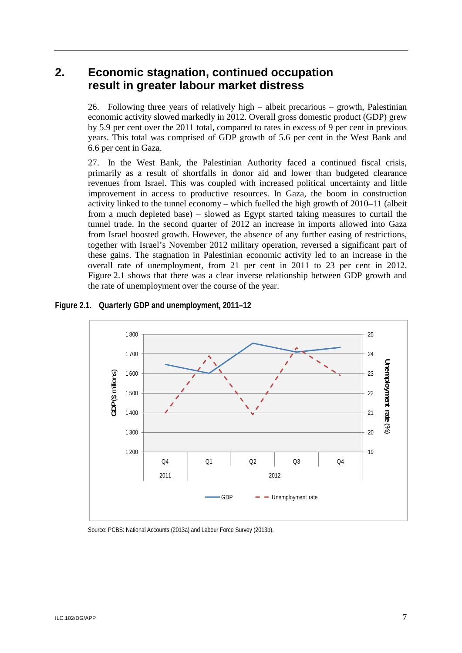# **2. Economic stagnation, continued occupation result in greater labour market distress**

26. Following three years of relatively high – albeit precarious – growth, Palestinian economic activity slowed markedly in 2012. Overall gross domestic product (GDP) grew by 5.9 per cent over the 2011 total, compared to rates in excess of 9 per cent in previous years. This total was comprised of GDP growth of 5.6 per cent in the West Bank and 6.6 per cent in Gaza.

27. In the West Bank, the Palestinian Authority faced a continued fiscal crisis, primarily as a result of shortfalls in donor aid and lower than budgeted clearance revenues from Israel. This was coupled with increased political uncertainty and little improvement in access to productive resources. In Gaza, the boom in construction activity linked to the tunnel economy – which fuelled the high growth of 2010–11 (albeit from a much depleted base) – slowed as Egypt started taking measures to curtail the tunnel trade. In the second quarter of 2012 an increase in imports allowed into Gaza from Israel boosted growth. However, the absence of any further easing of restrictions, together with Israel's November 2012 military operation, reversed a significant part of these gains. The stagnation in Palestinian economic activity led to an increase in the overall rate of unemployment, from 21 per cent in 2011 to 23 per cent in 2012. Figure 2.1 shows that there was a clear inverse relationship between GDP growth and the rate of unemployment over the course of the year.

### **Figure 2.1. Quarterly GDP and unemployment, 2011–12**



Source: PCBS: National Accounts (2013a) and Labour Force Survey (2013b).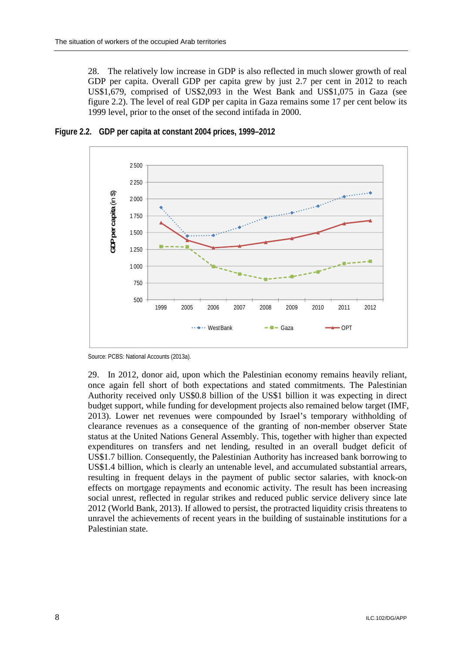28. The relatively low increase in GDP is also reflected in much slower growth of real GDP per capita. Overall GDP per capita grew by just 2.7 per cent in 2012 to reach US\$1,679, comprised of US\$2,093 in the West Bank and US\$1,075 in Gaza (see figure 2.2). The level of real GDP per capita in Gaza remains some 17 per cent below its 1999 level, prior to the onset of the second intifada in 2000.



**Figure 2.2. GDP per capita at constant 2004 prices, 1999–2012** 

29. In 2012, donor aid, upon which the Palestinian economy remains heavily reliant, once again fell short of both expectations and stated commitments. The Palestinian Authority received only US\$0.8 billion of the US\$1 billion it was expecting in direct budget support, while funding for development projects also remained below target (IMF, 2013). Lower net revenues were compounded by Israel's temporary withholding of clearance revenues as a consequence of the granting of non-member observer State status at the United Nations General Assembly. This, together with higher than expected expenditures on transfers and net lending, resulted in an overall budget deficit of US\$1.7 billion. Consequently, the Palestinian Authority has increased bank borrowing to US\$1.4 billion, which is clearly an untenable level, and accumulated substantial arrears, resulting in frequent delays in the payment of public sector salaries, with knock-on effects on mortgage repayments and economic activity. The result has been increasing social unrest, reflected in regular strikes and reduced public service delivery since late 2012 (World Bank, 2013). If allowed to persist, the protracted liquidity crisis threatens to unravel the achievements of recent years in the building of sustainable institutions for a Palestinian state.

Source: PCBS: National Accounts (2013a).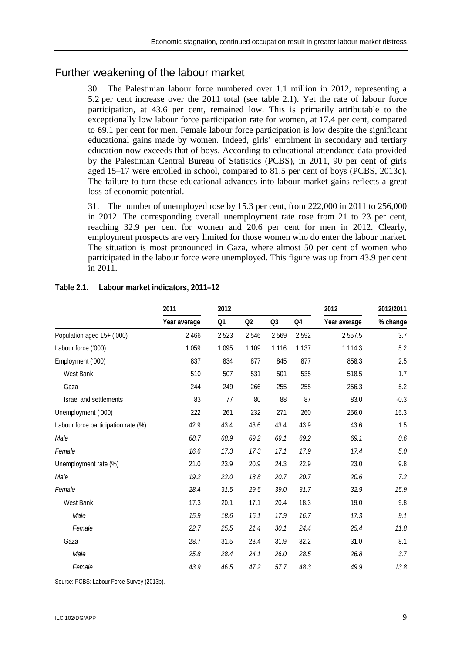# Further weakening of the labour market

30. The Palestinian labour force numbered over 1.1 million in 2012, representing a 5.2 per cent increase over the 2011 total (see table 2.1). Yet the rate of labour force participation, at 43.6 per cent, remained low. This is primarily attributable to the exceptionally low labour force participation rate for women, at 17.4 per cent, compared to 69.1 per cent for men. Female labour force participation is low despite the significant educational gains made by women. Indeed, girls' enrolment in secondary and tertiary education now exceeds that of boys. According to educational attendance data provided by the Palestinian Central Bureau of Statistics (PCBS), in 2011, 90 per cent of girls aged 15–17 were enrolled in school, compared to 81.5 per cent of boys (PCBS, 2013c). The failure to turn these educational advances into labour market gains reflects a great loss of economic potential.

31. The number of unemployed rose by 15.3 per cent, from 222,000 in 2011 to 256,000 in 2012. The corresponding overall unemployment rate rose from 21 to 23 per cent, reaching 32.9 per cent for women and 20.6 per cent for men in 2012. Clearly, employment prospects are very limited for those women who do enter the labour market. The situation is most pronounced in Gaza, where almost 50 per cent of women who participated in the labour force were unemployed. This figure was up from 43.9 per cent in 2011.

|                                            | 2011         | 2012    |         |                |         | 2012         | 2012/2011 |  |
|--------------------------------------------|--------------|---------|---------|----------------|---------|--------------|-----------|--|
|                                            | Year average | Q1      | Q2      | Q <sub>3</sub> | Q4      | Year average | % change  |  |
| Population aged 15+ ('000)                 | 2 4 6 6      | 2523    | 2546    | 2569           | 2592    | 2 5 5 7 . 5  | 3.7       |  |
| Labour force ('000)                        | 1059         | 1 0 9 5 | 1 1 0 9 | 1 1 1 6        | 1 1 3 7 | 1 1 1 4 . 3  | 5.2       |  |
| Employment ('000)                          | 837          | 834     | 877     | 845            | 877     | 858.3        | 2.5       |  |
| West Bank                                  | 510          | 507     | 531     | 501            | 535     | 518.5        | 1.7       |  |
| Gaza                                       | 244          | 249     | 266     | 255            | 255     | 256.3        | 5.2       |  |
| Israel and settlements                     | 83           | 77      | 80      | 88             | 87      | 83.0         | $-0.3$    |  |
| Unemployment ('000)                        | 222          | 261     | 232     | 271            | 260     | 256.0        | 15.3      |  |
| Labour force participation rate (%)        | 42.9         | 43.4    | 43.6    | 43.4           | 43.9    | 43.6         | 1.5       |  |
| Male                                       | 68.7         | 68.9    | 69.2    | 69.1           | 69.2    | 69.1         | 0.6       |  |
| Female                                     | 16.6         | 17.3    | 17.3    | 17.1           | 17.9    | 17.4         | 5.0       |  |
| Unemployment rate (%)                      | 21.0         | 23.9    | 20.9    | 24.3           | 22.9    | 23.0         | 9.8       |  |
| Male                                       | 19.2         | 22.0    | 18.8    | 20.7           | 20.7    | 20.6         | 7.2       |  |
| Female                                     | 28.4         | 31.5    | 29.5    | 39.0           | 31.7    | 32.9         | 15.9      |  |
| West Bank                                  | 17.3         | 20.1    | 17.1    | 20.4           | 18.3    | 19.0         | 9.8       |  |
| Male                                       | 15.9         | 18.6    | 16.1    | 17.9           | 16.7    | 17.3         | 9.1       |  |
| Female                                     | 22.7         | 25.5    | 21.4    | 30.1           | 24.4    | 25.4         | 11.8      |  |
| Gaza                                       | 28.7         | 31.5    | 28.4    | 31.9           | 32.2    | 31.0         | 8.1       |  |
| Male                                       | 25.8         | 28.4    | 24.1    | 26.0           | 28.5    | 26.8         | 3.7       |  |
| Female                                     | 43.9         | 46.5    | 47.2    | 57.7           | 48.3    | 49.9         | 13.8      |  |
| Source: PCBS: Labour Force Survey (2013b). |              |         |         |                |         |              |           |  |

### **Table 2.1. Labour market indicators, 2011–12**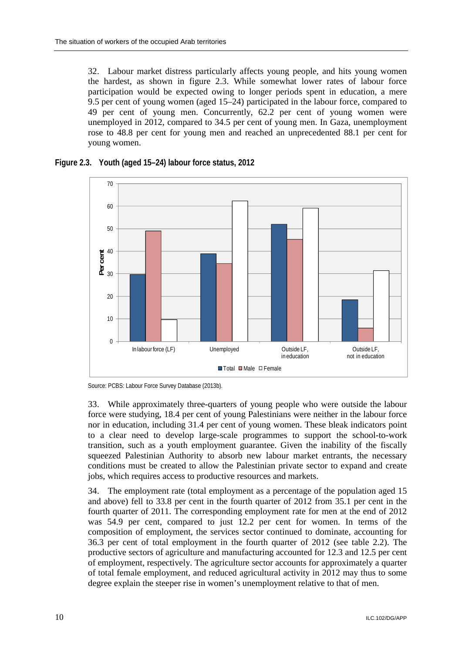32. Labour market distress particularly affects young people, and hits young women the hardest, as shown in figure 2.3. While somewhat lower rates of labour force participation would be expected owing to longer periods spent in education, a mere 9.5 per cent of young women (aged 15–24) participated in the labour force, compared to 49 per cent of young men. Concurrently, 62.2 per cent of young women were unemployed in 2012, compared to 34.5 per cent of young men. In Gaza, unemployment rose to 48.8 per cent for young men and reached an unprecedented 88.1 per cent for young women.







33. While approximately three-quarters of young people who were outside the labour force were studying, 18.4 per cent of young Palestinians were neither in the labour force nor in education, including 31.4 per cent of young women. These bleak indicators point to a clear need to develop large-scale programmes to support the school-to-work transition, such as a youth employment guarantee. Given the inability of the fiscally squeezed Palestinian Authority to absorb new labour market entrants, the necessary conditions must be created to allow the Palestinian private sector to expand and create jobs, which requires access to productive resources and markets.

34. The employment rate (total employment as a percentage of the population aged 15 and above) fell to 33.8 per cent in the fourth quarter of 2012 from 35.1 per cent in the fourth quarter of 2011. The corresponding employment rate for men at the end of 2012 was 54.9 per cent, compared to just 12.2 per cent for women. In terms of the composition of employment, the services sector continued to dominate, accounting for 36.3 per cent of total employment in the fourth quarter of 2012 (see table 2.2). The productive sectors of agriculture and manufacturing accounted for 12.3 and 12.5 per cent of employment, respectively. The agriculture sector accounts for approximately a quarter of total female employment, and reduced agricultural activity in 2012 may thus to some degree explain the steeper rise in women's unemployment relative to that of men.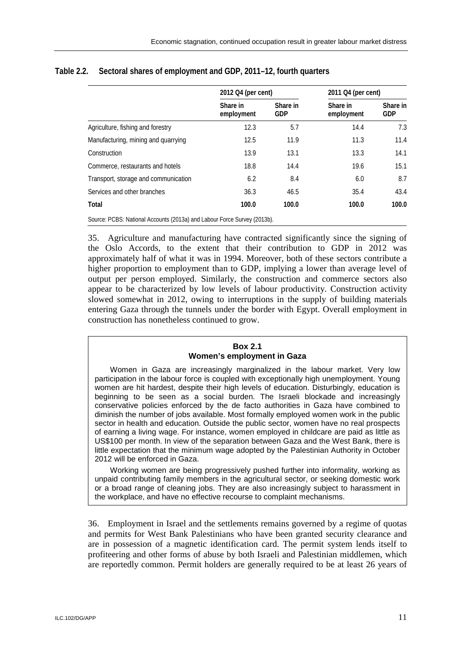|                                                                         | 2012 Q4 (per cent)     |                        | 2011 Q4 (per cent)     |                        |  |
|-------------------------------------------------------------------------|------------------------|------------------------|------------------------|------------------------|--|
|                                                                         | Share in<br>employment | Share in<br><b>GDP</b> | Share in<br>employment | Share in<br><b>GDP</b> |  |
| Agriculture, fishing and forestry                                       | 12.3                   | 5.7                    | 14.4                   | 7.3                    |  |
| Manufacturing, mining and quarrying                                     | 12.5                   | 11.9                   | 11.3                   | 11.4                   |  |
| Construction                                                            | 13.9                   | 13.1                   | 13.3                   | 14.1                   |  |
| Commerce, restaurants and hotels                                        | 18.8                   | 14.4                   | 19.6                   | 15.1                   |  |
| Transport, storage and communication                                    | 6.2                    | 8.4                    | 6.0                    | 8.7                    |  |
| Services and other branches                                             | 36.3                   | 46.5                   | 35.4                   | 43.4                   |  |
| Total                                                                   | 100.0                  | 100.0                  | 100.0                  | 100.0                  |  |
| Source: PCBS: National Accounts (2013a) and Labour Force Survey (2013b) |                        |                        |                        |                        |  |

### **Table 2.2. Sectoral shares of employment and GDP, 2011–12, fourth quarters**

Source: PCBS: National Accounts (2013a) and Labour Force Survey (2013b).

35. Agriculture and manufacturing have contracted significantly since the signing of the Oslo Accords, to the extent that their contribution to GDP in 2012 was approximately half of what it was in 1994. Moreover, both of these sectors contribute a higher proportion to employment than to GDP, implying a lower than average level of output per person employed. Similarly, the construction and commerce sectors also appear to be characterized by low levels of labour productivity. Construction activity slowed somewhat in 2012, owing to interruptions in the supply of building materials entering Gaza through the tunnels under the border with Egypt. Overall employment in construction has nonetheless continued to grow.

#### **Box 2.1 Women's employment in Gaza**

Women in Gaza are increasingly marginalized in the labour market. Very low participation in the labour force is coupled with exceptionally high unemployment. Young women are hit hardest, despite their high levels of education. Disturbingly, education is beginning to be seen as a social burden. The Israeli blockade and increasingly conservative policies enforced by the de facto authorities in Gaza have combined to diminish the number of jobs available. Most formally employed women work in the public sector in health and education. Outside the public sector, women have no real prospects of earning a living wage. For instance, women employed in childcare are paid as little as US\$100 per month. In view of the separation between Gaza and the West Bank, there is little expectation that the minimum wage adopted by the Palestinian Authority in October 2012 will be enforced in Gaza.

Working women are being progressively pushed further into informality, working as unpaid contributing family members in the agricultural sector, or seeking domestic work or a broad range of cleaning jobs. They are also increasingly subject to harassment in the workplace, and have no effective recourse to complaint mechanisms.

36. Employment in Israel and the settlements remains governed by a regime of quotas and permits for West Bank Palestinians who have been granted security clearance and are in possession of a magnetic identification card. The permit system lends itself to profiteering and other forms of abuse by both Israeli and Palestinian middlemen, which are reportedly common. Permit holders are generally required to be at least 26 years of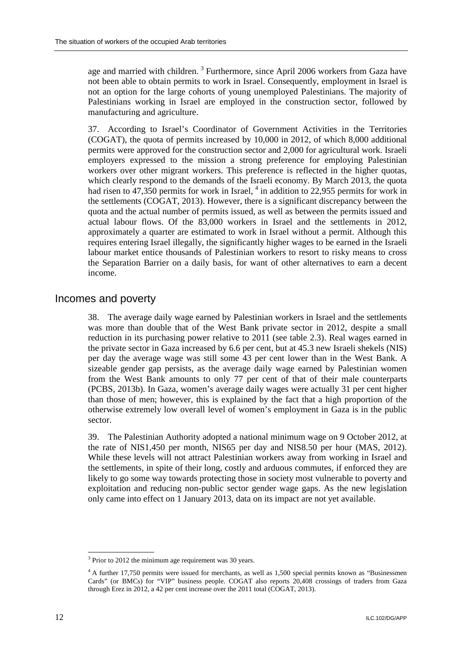age and married with children.<sup>3</sup> Furthermore, since April 2006 workers from Gaza have not been able to obtain permits to work in Israel. Consequently, employment in Israel is not an option for the large cohorts of young unemployed Palestinians. The majority of Palestinians working in Israel are employed in the construction sector, followed by manufacturing and agriculture.

37. According to Israel's Coordinator of Government Activities in the Territories (COGAT), the quota of permits increased by 10,000 in 2012, of which 8,000 additional permits were approved for the construction sector and 2,000 for agricultural work. Israeli employers expressed to the mission a strong preference for employing Palestinian workers over other migrant workers. This preference is reflected in the higher quotas, which clearly respond to the demands of the Israeli economy. By March 2013, the quota had risen to  $47,350$  permits for work in Israel,  $^{4}$  in addition to 22,955 permits for work in the settlements (COGAT, 2013). However, there is a significant discrepancy between the quota and the actual number of permits issued, as well as between the permits issued and actual labour flows. Of the 83,000 workers in Israel and the settlements in 2012, approximately a quarter are estimated to work in Israel without a permit. Although this requires entering Israel illegally, the significantly higher wages to be earned in the Israeli labour market entice thousands of Palestinian workers to resort to risky means to cross the Separation Barrier on a daily basis, for want of other alternatives to earn a decent income.

### Incomes and poverty

38. The average daily wage earned by Palestinian workers in Israel and the settlements was more than double that of the West Bank private sector in 2012, despite a small reduction in its purchasing power relative to 2011 (see table 2.3). Real wages earned in the private sector in Gaza increased by 6.6 per cent, but at 45.3 new Israeli shekels (NIS) per day the average wage was still some 43 per cent lower than in the West Bank. A sizeable gender gap persists, as the average daily wage earned by Palestinian women from the West Bank amounts to only 77 per cent of that of their male counterparts (PCBS, 2013b). In Gaza, women's average daily wages were actually 31 per cent higher than those of men; however, this is explained by the fact that a high proportion of the otherwise extremely low overall level of women's employment in Gaza is in the public sector.

39. The Palestinian Authority adopted a national minimum wage on 9 October 2012, at the rate of NIS1,450 per month, NIS65 per day and NIS8.50 per hour (MAS, 2012). While these levels will not attract Palestinian workers away from working in Israel and the settlements, in spite of their long, costly and arduous commutes, if enforced they are likely to go some way towards protecting those in society most vulnerable to poverty and exploitation and reducing non-public sector gender wage gaps. As the new legislation only came into effect on 1 January 2013, data on its impact are not yet available.

<sup>-</sup> $3$  Prior to 2012 the minimum age requirement was 30 years.

<sup>4</sup> A further 17,750 permits were issued for merchants, as well as 1,500 special permits known as "Businessmen Cards" (or BMCs) for "VIP" business people. COGAT also reports 20,408 crossings of traders from Gaza through Erez in 2012, a 42 per cent increase over the 2011 total (COGAT, 2013).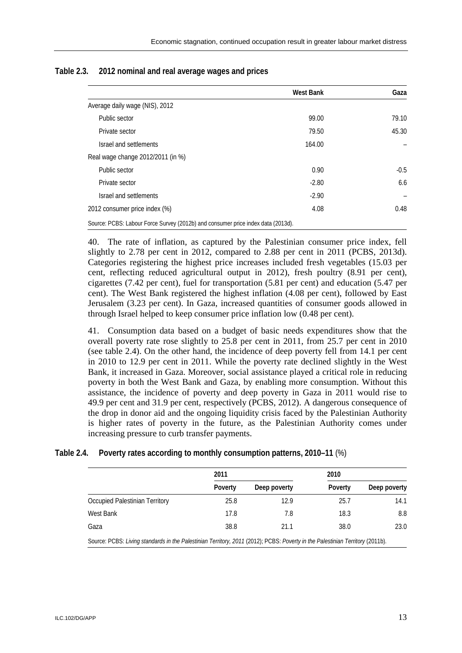|                                                                                  | <b>West Bank</b> | Gaza   |
|----------------------------------------------------------------------------------|------------------|--------|
| Average daily wage (NIS), 2012                                                   |                  |        |
| Public sector                                                                    | 99.00            | 79.10  |
| Private sector                                                                   | 79.50            | 45.30  |
| Israel and settlements                                                           | 164.00           |        |
| Real wage change 2012/2011 (in %)                                                |                  |        |
| Public sector                                                                    | 0.90             | $-0.5$ |
| Private sector                                                                   | $-2.80$          | 6.6    |
| Israel and settlements                                                           | $-2.90$          |        |
| 2012 consumer price index (%)                                                    | 4.08             | 0.48   |
| Source: PCBS: Labour Force Survey (2012b) and consumer price index data (2013d). |                  |        |

#### **Table 2.3. 2012 nominal and real average wages and prices**

40. The rate of inflation, as captured by the Palestinian consumer price index, fell slightly to 2.78 per cent in 2012, compared to 2.88 per cent in 2011 (PCBS, 2013d). Categories registering the highest price increases included fresh vegetables (15.03 per cent, reflecting reduced agricultural output in 2012), fresh poultry (8.91 per cent), cigarettes (7.42 per cent), fuel for transportation (5.81 per cent) and education (5.47 per cent). The West Bank registered the highest inflation (4.08 per cent), followed by East Jerusalem (3.23 per cent). In Gaza, increased quantities of consumer goods allowed in through Israel helped to keep consumer price inflation low (0.48 per cent).

41. Consumption data based on a budget of basic needs expenditures show that the overall poverty rate rose slightly to 25.8 per cent in 2011, from 25.7 per cent in 2010 (see table 2.4). On the other hand, the incidence of deep poverty fell from 14.1 per cent in 2010 to 12.9 per cent in 2011. While the poverty rate declined slightly in the West Bank, it increased in Gaza. Moreover, social assistance played a critical role in reducing poverty in both the West Bank and Gaza, by enabling more consumption. Without this assistance, the incidence of poverty and deep poverty in Gaza in 2011 would rise to 49.9 per cent and 31.9 per cent, respectively (PCBS, 2012). A dangerous consequence of the drop in donor aid and the ongoing liquidity crisis faced by the Palestinian Authority is higher rates of poverty in the future, as the Palestinian Authority comes under increasing pressure to curb transfer payments.

|                                | 2011    |              | 2010    |              |  |
|--------------------------------|---------|--------------|---------|--------------|--|
|                                | Poverty | Deep poverty | Poverty | Deep poverty |  |
| Occupied Palestinian Territory | 25.8    | 12.9         | 25.7    | 14.1         |  |
| West Bank                      | 17.8    | 7.8          | 18.3    | 8.8          |  |
| Gaza                           | 38.8    | 21.1         | 38.0    | 23.0         |  |

### **Table 2.4. Poverty rates according to monthly consumption patterns, 2010–11** (%)

Source: PCBS: *Living standards in the Palestinian Territory, 2011* (2012); PCBS: *Poverty in the Palestinian Territory* (2011b).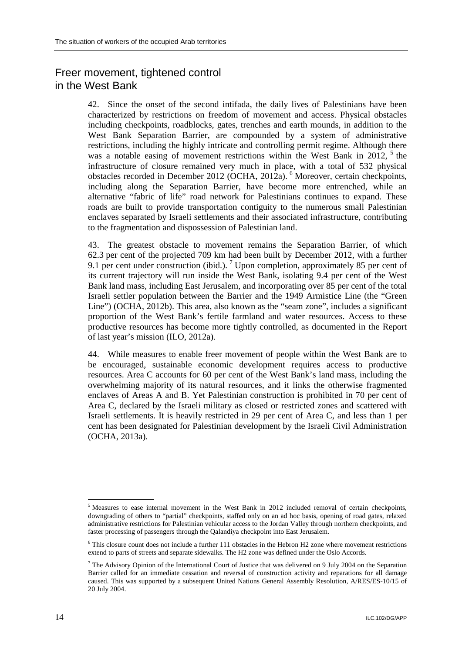# Freer movement, tightened control in the West Bank

42. Since the onset of the second intifada, the daily lives of Palestinians have been characterized by restrictions on freedom of movement and access. Physical obstacles including checkpoints, roadblocks, gates, trenches and earth mounds, in addition to the West Bank Separation Barrier, are compounded by a system of administrative restrictions, including the highly intricate and controlling permit regime. Although there was a notable easing of movement restrictions within the West Bank in  $2012$ ,  $5$  the infrastructure of closure remained very much in place, with a total of 532 physical obstacles recorded in December 2012 (OCHA, 2012a). <sup>6</sup> Moreover, certain checkpoints, including along the Separation Barrier, have become more entrenched, while an alternative "fabric of life" road network for Palestinians continues to expand. These roads are built to provide transportation contiguity to the numerous small Palestinian enclaves separated by Israeli settlements and their associated infrastructure, contributing to the fragmentation and dispossession of Palestinian land.

43. The greatest obstacle to movement remains the Separation Barrier, of which 62.3 per cent of the projected 709 km had been built by December 2012, with a further 9.1 per cent under construction (ibid.).<sup>7</sup> Upon completion, approximately 85 per cent of its current trajectory will run inside the West Bank, isolating 9.4 per cent of the West Bank land mass, including East Jerusalem, and incorporating over 85 per cent of the total Israeli settler population between the Barrier and the 1949 Armistice Line (the "Green Line") (OCHA, 2012b). This area, also known as the "seam zone", includes a significant proportion of the West Bank's fertile farmland and water resources. Access to these productive resources has become more tightly controlled, as documented in the Report of last year's mission (ILO, 2012a).

44. While measures to enable freer movement of people within the West Bank are to be encouraged, sustainable economic development requires access to productive resources. Area C accounts for 60 per cent of the West Bank's land mass, including the overwhelming majority of its natural resources, and it links the otherwise fragmented enclaves of Areas A and B. Yet Palestinian construction is prohibited in 70 per cent of Area C, declared by the Israeli military as closed or restricted zones and scattered with Israeli settlements. It is heavily restricted in 29 per cent of Area C, and less than 1 per cent has been designated for Palestinian development by the Israeli Civil Administration (OCHA, 2013a).

-

 $<sup>5</sup>$  Measures to ease internal movement in the West Bank in 2012 included removal of certain checkpoints,</sup> downgrading of others to "partial" checkpoints, staffed only on an ad hoc basis, opening of road gates, relaxed administrative restrictions for Palestinian vehicular access to the Jordan Valley through northern checkpoints, and faster processing of passengers through the Qalandiya checkpoint into East Jerusalem.

 $6$  This closure count does not include a further 111 obstacles in the Hebron H2 zone where movement restrictions extend to parts of streets and separate sidewalks. The H2 zone was defined under the Oslo Accords.

<sup>&</sup>lt;sup>7</sup> The Advisory Opinion of the International Court of Justice that was delivered on 9 July 2004 on the Separation Barrier called for an immediate cessation and reversal of construction activity and reparations for all damage caused. This was supported by a subsequent United Nations General Assembly Resolution, A/RES/ES-10/15 of 20 July 2004.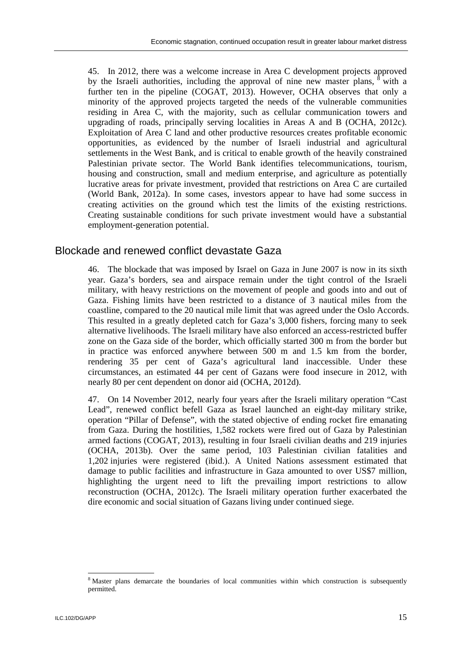45. In 2012, there was a welcome increase in Area C development projects approved by the Israeli authorities, including the approval of nine new master plans,  $\delta$  with a further ten in the pipeline (COGAT, 2013). However, OCHA observes that only a minority of the approved projects targeted the needs of the vulnerable communities residing in Area C, with the majority, such as cellular communication towers and upgrading of roads, principally serving localities in Areas A and B (OCHA, 2012c). Exploitation of Area C land and other productive resources creates profitable economic opportunities, as evidenced by the number of Israeli industrial and agricultural settlements in the West Bank, and is critical to enable growth of the heavily constrained Palestinian private sector. The World Bank identifies telecommunications, tourism, housing and construction, small and medium enterprise, and agriculture as potentially lucrative areas for private investment, provided that restrictions on Area C are curtailed (World Bank, 2012a). In some cases, investors appear to have had some success in creating activities on the ground which test the limits of the existing restrictions. Creating sustainable conditions for such private investment would have a substantial employment-generation potential.

### Blockade and renewed conflict devastate Gaza

46. The blockade that was imposed by Israel on Gaza in June 2007 is now in its sixth year. Gaza's borders, sea and airspace remain under the tight control of the Israeli military, with heavy restrictions on the movement of people and goods into and out of Gaza. Fishing limits have been restricted to a distance of 3 nautical miles from the coastline, compared to the 20 nautical mile limit that was agreed under the Oslo Accords. This resulted in a greatly depleted catch for Gaza's 3,000 fishers, forcing many to seek alternative livelihoods. The Israeli military have also enforced an access-restricted buffer zone on the Gaza side of the border, which officially started 300 m from the border but in practice was enforced anywhere between 500 m and 1.5 km from the border, rendering 35 per cent of Gaza's agricultural land inaccessible. Under these circumstances, an estimated 44 per cent of Gazans were food insecure in 2012, with nearly 80 per cent dependent on donor aid (OCHA, 2012d).

47. On 14 November 2012, nearly four years after the Israeli military operation "Cast Lead", renewed conflict befell Gaza as Israel launched an eight-day military strike, operation "Pillar of Defense", with the stated objective of ending rocket fire emanating from Gaza. During the hostilities, 1,582 rockets were fired out of Gaza by Palestinian armed factions (COGAT, 2013), resulting in four Israeli civilian deaths and 219 injuries (OCHA, 2013b). Over the same period, 103 Palestinian civilian fatalities and 1,202 injuries were registered (ibid.). A United Nations assessment estimated that damage to public facilities and infrastructure in Gaza amounted to over US\$7 million, highlighting the urgent need to lift the prevailing import restrictions to allow reconstruction (OCHA, 2012c). The Israeli military operation further exacerbated the dire economic and social situation of Gazans living under continued siege.

-

<sup>8</sup> Master plans demarcate the boundaries of local communities within which construction is subsequently permitted.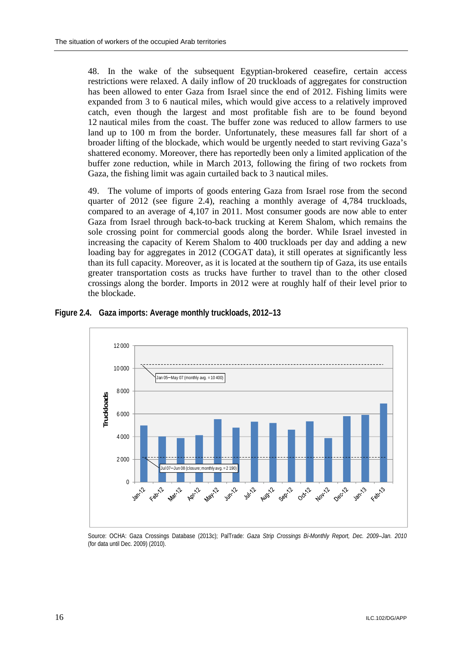48. In the wake of the subsequent Egyptian-brokered ceasefire, certain access restrictions were relaxed. A daily inflow of 20 truckloads of aggregates for construction has been allowed to enter Gaza from Israel since the end of 2012. Fishing limits were expanded from 3 to 6 nautical miles, which would give access to a relatively improved catch, even though the largest and most profitable fish are to be found beyond 12 nautical miles from the coast. The buffer zone was reduced to allow farmers to use land up to 100 m from the border. Unfortunately, these measures fall far short of a broader lifting of the blockade, which would be urgently needed to start reviving Gaza's shattered economy. Moreover, there has reportedly been only a limited application of the buffer zone reduction, while in March 2013, following the firing of two rockets from Gaza, the fishing limit was again curtailed back to 3 nautical miles.

49. The volume of imports of goods entering Gaza from Israel rose from the second quarter of 2012 (see figure 2.4), reaching a monthly average of 4,784 truckloads, compared to an average of 4,107 in 2011. Most consumer goods are now able to enter Gaza from Israel through back-to-back trucking at Kerem Shalom, which remains the sole crossing point for commercial goods along the border. While Israel invested in increasing the capacity of Kerem Shalom to 400 truckloads per day and adding a new loading bay for aggregates in 2012 (COGAT data), it still operates at significantly less than its full capacity. Moreover, as it is located at the southern tip of Gaza, its use entails greater transportation costs as trucks have further to travel than to the other closed crossings along the border. Imports in 2012 were at roughly half of their level prior to the blockade.



**Figure 2.4. Gaza imports: Average monthly truckloads, 2012–13** 

Source: OCHA: Gaza Crossings Database (2013c); PalTrade: *Gaza Strip Crossings Bi-Monthly Report, Dec. 2009–Jan. 2010*  (for data until Dec. 2009) (2010).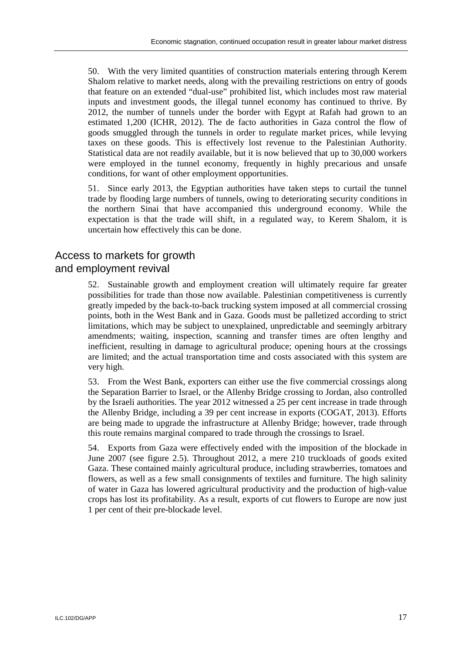50. With the very limited quantities of construction materials entering through Kerem Shalom relative to market needs, along with the prevailing restrictions on entry of goods that feature on an extended "dual-use" prohibited list, which includes most raw material inputs and investment goods, the illegal tunnel economy has continued to thrive. By 2012, the number of tunnels under the border with Egypt at Rafah had grown to an estimated 1,200 (ICHR, 2012). The de facto authorities in Gaza control the flow of goods smuggled through the tunnels in order to regulate market prices, while levying taxes on these goods. This is effectively lost revenue to the Palestinian Authority. Statistical data are not readily available, but it is now believed that up to 30,000 workers were employed in the tunnel economy, frequently in highly precarious and unsafe conditions, for want of other employment opportunities.

51. Since early 2013, the Egyptian authorities have taken steps to curtail the tunnel trade by flooding large numbers of tunnels, owing to deteriorating security conditions in the northern Sinai that have accompanied this underground economy. While the expectation is that the trade will shift, in a regulated way, to Kerem Shalom, it is uncertain how effectively this can be done.

# Access to markets for growth and employment revival

52. Sustainable growth and employment creation will ultimately require far greater possibilities for trade than those now available. Palestinian competitiveness is currently greatly impeded by the back-to-back trucking system imposed at all commercial crossing points, both in the West Bank and in Gaza. Goods must be palletized according to strict limitations, which may be subject to unexplained, unpredictable and seemingly arbitrary amendments; waiting, inspection, scanning and transfer times are often lengthy and inefficient, resulting in damage to agricultural produce; opening hours at the crossings are limited; and the actual transportation time and costs associated with this system are very high.

53. From the West Bank, exporters can either use the five commercial crossings along the Separation Barrier to Israel, or the Allenby Bridge crossing to Jordan, also controlled by the Israeli authorities. The year 2012 witnessed a 25 per cent increase in trade through the Allenby Bridge, including a 39 per cent increase in exports (COGAT, 2013). Efforts are being made to upgrade the infrastructure at Allenby Bridge; however, trade through this route remains marginal compared to trade through the crossings to Israel.

54. Exports from Gaza were effectively ended with the imposition of the blockade in June 2007 (see figure 2.5). Throughout 2012, a mere 210 truckloads of goods exited Gaza. These contained mainly agricultural produce, including strawberries, tomatoes and flowers, as well as a few small consignments of textiles and furniture. The high salinity of water in Gaza has lowered agricultural productivity and the production of high-value crops has lost its profitability. As a result, exports of cut flowers to Europe are now just 1 per cent of their pre-blockade level.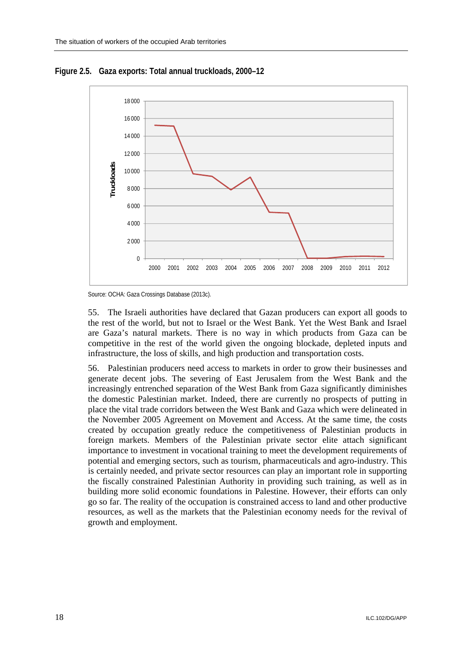

**Figure 2.5. Gaza exports: Total annual truckloads, 2000–12** 

Source: OCHA: Gaza Crossings Database (2013c).

55. The Israeli authorities have declared that Gazan producers can export all goods to the rest of the world, but not to Israel or the West Bank. Yet the West Bank and Israel are Gaza's natural markets. There is no way in which products from Gaza can be competitive in the rest of the world given the ongoing blockade, depleted inputs and infrastructure, the loss of skills, and high production and transportation costs.

56. Palestinian producers need access to markets in order to grow their businesses and generate decent jobs. The severing of East Jerusalem from the West Bank and the increasingly entrenched separation of the West Bank from Gaza significantly diminishes the domestic Palestinian market. Indeed, there are currently no prospects of putting in place the vital trade corridors between the West Bank and Gaza which were delineated in the November 2005 Agreement on Movement and Access. At the same time, the costs created by occupation greatly reduce the competitiveness of Palestinian products in foreign markets. Members of the Palestinian private sector elite attach significant importance to investment in vocational training to meet the development requirements of potential and emerging sectors, such as tourism, pharmaceuticals and agro-industry. This is certainly needed, and private sector resources can play an important role in supporting the fiscally constrained Palestinian Authority in providing such training, as well as in building more solid economic foundations in Palestine. However, their efforts can only go so far. The reality of the occupation is constrained access to land and other productive resources, as well as the markets that the Palestinian economy needs for the revival of growth and employment.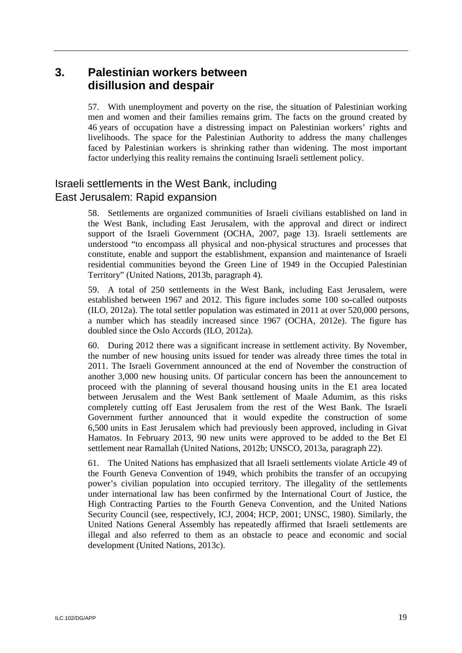# **3. Palestinian workers between disillusion and despair**

57. With unemployment and poverty on the rise, the situation of Palestinian working men and women and their families remains grim. The facts on the ground created by 46 years of occupation have a distressing impact on Palestinian workers' rights and livelihoods. The space for the Palestinian Authority to address the many challenges faced by Palestinian workers is shrinking rather than widening. The most important factor underlying this reality remains the continuing Israeli settlement policy.

# Israeli settlements in the West Bank, including East Jerusalem: Rapid expansion

58. Settlements are organized communities of Israeli civilians established on land in the West Bank, including East Jerusalem, with the approval and direct or indirect support of the Israeli Government (OCHA, 2007, page 13). Israeli settlements are understood "to encompass all physical and non-physical structures and processes that constitute, enable and support the establishment, expansion and maintenance of Israeli residential communities beyond the Green Line of 1949 in the Occupied Palestinian Territory" (United Nations, 2013b, paragraph 4).

59. A total of 250 settlements in the West Bank, including East Jerusalem, were established between 1967 and 2012. This figure includes some 100 so-called outposts (ILO, 2012a). The total settler population was estimated in 2011 at over 520,000 persons, a number which has steadily increased since 1967 (OCHA, 2012e). The figure has doubled since the Oslo Accords (ILO, 2012a).

60. During 2012 there was a significant increase in settlement activity. By November, the number of new housing units issued for tender was already three times the total in 2011. The Israeli Government announced at the end of November the construction of another 3,000 new housing units. Of particular concern has been the announcement to proceed with the planning of several thousand housing units in the E1 area located between Jerusalem and the West Bank settlement of Maale Adumim, as this risks completely cutting off East Jerusalem from the rest of the West Bank. The Israeli Government further announced that it would expedite the construction of some 6,500 units in East Jerusalem which had previously been approved, including in Givat Hamatos. In February 2013, 90 new units were approved to be added to the Bet El settlement near Ramallah (United Nations, 2012b; UNSCO, 2013a, paragraph 22).

61. The United Nations has emphasized that all Israeli settlements violate Article 49 of the Fourth Geneva Convention of 1949, which prohibits the transfer of an occupying power's civilian population into occupied territory. The illegality of the settlements under international law has been confirmed by the International Court of Justice, the High Contracting Parties to the Fourth Geneva Convention, and the United Nations Security Council (see, respectively, ICJ, 2004; HCP, 2001; UNSC, 1980). Similarly, the United Nations General Assembly has repeatedly affirmed that Israeli settlements are illegal and also referred to them as an obstacle to peace and economic and social development (United Nations, 2013c).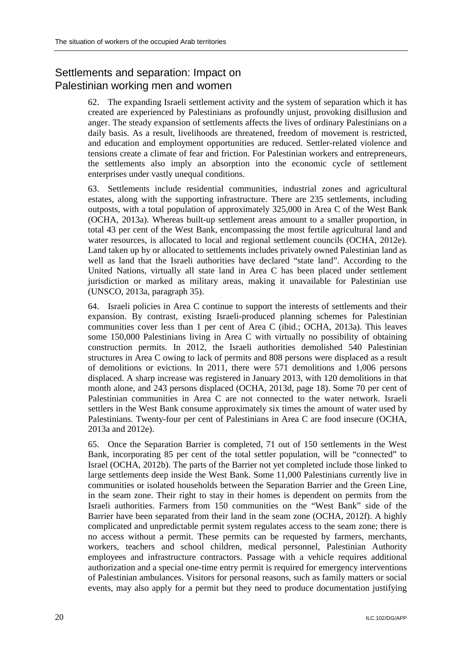# Settlements and separation: Impact on Palestinian working men and women

62. The expanding Israeli settlement activity and the system of separation which it has created are experienced by Palestinians as profoundly unjust, provoking disillusion and anger. The steady expansion of settlements affects the lives of ordinary Palestinians on a daily basis. As a result, livelihoods are threatened, freedom of movement is restricted, and education and employment opportunities are reduced. Settler-related violence and tensions create a climate of fear and friction. For Palestinian workers and entrepreneurs, the settlements also imply an absorption into the economic cycle of settlement enterprises under vastly unequal conditions.

63. Settlements include residential communities, industrial zones and agricultural estates, along with the supporting infrastructure. There are 235 settlements, including outposts, with a total population of approximately 325,000 in Area C of the West Bank (OCHA, 2013a). Whereas built-up settlement areas amount to a smaller proportion, in total 43 per cent of the West Bank, encompassing the most fertile agricultural land and water resources, is allocated to local and regional settlement councils (OCHA, 2012e). Land taken up by or allocated to settlements includes privately owned Palestinian land as well as land that the Israeli authorities have declared "state land". According to the United Nations, virtually all state land in Area C has been placed under settlement jurisdiction or marked as military areas, making it unavailable for Palestinian use (UNSCO, 2013a, paragraph 35).

64. Israeli policies in Area C continue to support the interests of settlements and their expansion. By contrast, existing Israeli-produced planning schemes for Palestinian communities cover less than 1 per cent of Area C (ibid.; OCHA, 2013a). This leaves some 150,000 Palestinians living in Area C with virtually no possibility of obtaining construction permits. In 2012, the Israeli authorities demolished 540 Palestinian structures in Area C owing to lack of permits and 808 persons were displaced as a result of demolitions or evictions. In 2011, there were 571 demolitions and 1,006 persons displaced. A sharp increase was registered in January 2013, with 120 demolitions in that month alone, and 243 persons displaced (OCHA, 2013d, page 18). Some 70 per cent of Palestinian communities in Area C are not connected to the water network. Israeli settlers in the West Bank consume approximately six times the amount of water used by Palestinians. Twenty-four per cent of Palestinians in Area C are food insecure (OCHA, 2013a and 2012e).

65. Once the Separation Barrier is completed, 71 out of 150 settlements in the West Bank, incorporating 85 per cent of the total settler population, will be "connected" to Israel (OCHA, 2012b). The parts of the Barrier not yet completed include those linked to large settlements deep inside the West Bank. Some 11,000 Palestinians currently live in communities or isolated households between the Separation Barrier and the Green Line, in the seam zone. Their right to stay in their homes is dependent on permits from the Israeli authorities. Farmers from 150 communities on the "West Bank" side of the Barrier have been separated from their land in the seam zone (OCHA, 2012f). A highly complicated and unpredictable permit system regulates access to the seam zone; there is no access without a permit. These permits can be requested by farmers, merchants, workers, teachers and school children, medical personnel, Palestinian Authority employees and infrastructure contractors. Passage with a vehicle requires additional authorization and a special one-time entry permit is required for emergency interventions of Palestinian ambulances. Visitors for personal reasons, such as family matters or social events, may also apply for a permit but they need to produce documentation justifying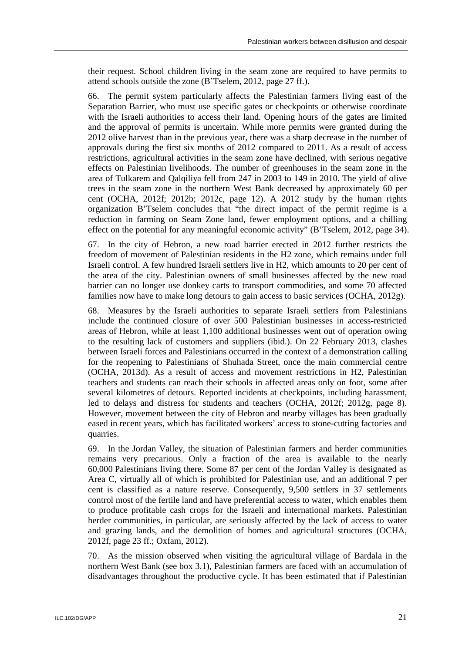their request. School children living in the seam zone are required to have permits to attend schools outside the zone (B'Tselem, 2012, page 27 ff.).

66. The permit system particularly affects the Palestinian farmers living east of the Separation Barrier, who must use specific gates or checkpoints or otherwise coordinate with the Israeli authorities to access their land. Opening hours of the gates are limited and the approval of permits is uncertain. While more permits were granted during the 2012 olive harvest than in the previous year, there was a sharp decrease in the number of approvals during the first six months of 2012 compared to 2011. As a result of access restrictions, agricultural activities in the seam zone have declined, with serious negative effects on Palestinian livelihoods. The number of greenhouses in the seam zone in the area of Tulkarem and Qalqiliya fell from 247 in 2003 to 149 in 2010. The yield of olive trees in the seam zone in the northern West Bank decreased by approximately 60 per cent (OCHA, 2012f; 2012b; 2012c, page 12). A 2012 study by the human rights organization B'Tselem concludes that "the direct impact of the permit regime is a reduction in farming on Seam Zone land, fewer employment options, and a chilling effect on the potential for any meaningful economic activity" (B'Tselem, 2012, page 34).

67. In the city of Hebron, a new road barrier erected in 2012 further restricts the freedom of movement of Palestinian residents in the H2 zone, which remains under full Israeli control. A few hundred Israeli settlers live in H2, which amounts to 20 per cent of the area of the city. Palestinian owners of small businesses affected by the new road barrier can no longer use donkey carts to transport commodities, and some 70 affected families now have to make long detours to gain access to basic services (OCHA, 2012g).

68. Measures by the Israeli authorities to separate Israeli settlers from Palestinians include the continued closure of over 500 Palestinian businesses in access-restricted areas of Hebron, while at least 1,100 additional businesses went out of operation owing to the resulting lack of customers and suppliers (ibid.). On 22 February 2013, clashes between Israeli forces and Palestinians occurred in the context of a demonstration calling for the reopening to Palestinians of Shuhada Street, once the main commercial centre (OCHA, 2013d). As a result of access and movement restrictions in H2, Palestinian teachers and students can reach their schools in affected areas only on foot, some after several kilometres of detours. Reported incidents at checkpoints, including harassment, led to delays and distress for students and teachers (OCHA, 2012f; 2012g, page 8). However, movement between the city of Hebron and nearby villages has been gradually eased in recent years, which has facilitated workers' access to stone-cutting factories and quarries.

69. In the Jordan Valley, the situation of Palestinian farmers and herder communities remains very precarious. Only a fraction of the area is available to the nearly 60,000 Palestinians living there. Some 87 per cent of the Jordan Valley is designated as Area C, virtually all of which is prohibited for Palestinian use, and an additional 7 per cent is classified as a nature reserve. Consequently, 9,500 settlers in 37 settlements control most of the fertile land and have preferential access to water, which enables them to produce profitable cash crops for the Israeli and international markets. Palestinian herder communities, in particular, are seriously affected by the lack of access to water and grazing lands, and the demolition of homes and agricultural structures (OCHA, 2012f, page 23 ff.; Oxfam, 2012).

70. As the mission observed when visiting the agricultural village of Bardala in the northern West Bank (see box 3.1), Palestinian farmers are faced with an accumulation of disadvantages throughout the productive cycle. It has been estimated that if Palestinian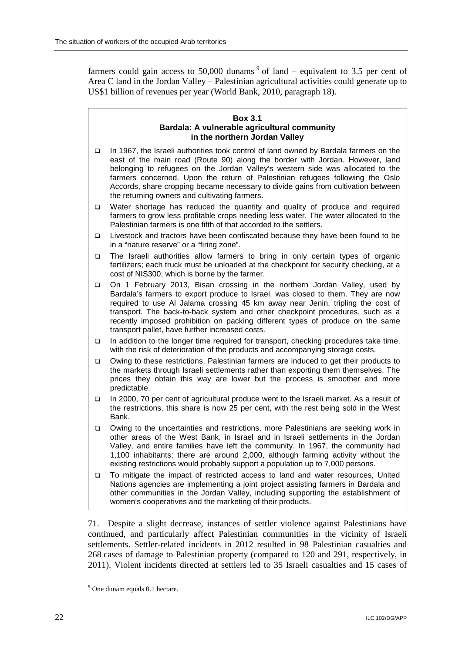farmers could gain access to 50,000 dunams  $9$  of land – equivalent to 3.5 per cent of Area C land in the Jordan Valley – Palestinian agricultural activities could generate up to US\$1 billion of revenues per year (World Bank, 2010, paragraph 18).

#### **Box 3.1 Bardala: A vulnerable agricultural community in the northern Jordan Valley**

- In 1967, the Israeli authorities took control of land owned by Bardala farmers on the east of the main road (Route 90) along the border with Jordan. However, land belonging to refugees on the Jordan Valley's western side was allocated to the farmers concerned. Upon the return of Palestinian refugees following the Oslo Accords, share cropping became necessary to divide gains from cultivation between the returning owners and cultivating farmers.
- □ Water shortage has reduced the quantity and quality of produce and required farmers to grow less profitable crops needing less water. The water allocated to the Palestinian farmers is one fifth of that accorded to the settlers.
- Livestock and tractors have been confiscated because they have been found to be in a "nature reserve" or a "firing zone".
- The Israeli authorities allow farmers to bring in only certain types of organic fertilizers; each truck must be unloaded at the checkpoint for security checking, at a cost of NIS300, which is borne by the farmer.
- On 1 February 2013, Bisan crossing in the northern Jordan Valley, used by Bardala's farmers to export produce to Israel, was closed to them. They are now required to use Al Jalama crossing 45 km away near Jenin, tripling the cost of transport. The back-to-back system and other checkpoint procedures, such as a recently imposed prohibition on packing different types of produce on the same transport pallet, have further increased costs.
- $\Box$  In addition to the longer time required for transport, checking procedures take time, with the risk of deterioration of the products and accompanying storage costs.
- Owing to these restrictions, Palestinian farmers are induced to get their products to the markets through Israeli settlements rather than exporting them themselves. The prices they obtain this way are lower but the process is smoother and more predictable.
- In 2000, 70 per cent of agricultural produce went to the Israeli market. As a result of the restrictions, this share is now 25 per cent, with the rest being sold in the West Bank.
- □ Owing to the uncertainties and restrictions, more Palestinians are seeking work in other areas of the West Bank, in Israel and in Israeli settlements in the Jordan Valley, and entire families have left the community. In 1967, the community had 1,100 inhabitants; there are around 2,000, although farming activity without the existing restrictions would probably support a population up to 7,000 persons.
- To mitigate the impact of restricted access to land and water resources, United Nations agencies are implementing a joint project assisting farmers in Bardala and other communities in the Jordan Valley, including supporting the establishment of women's cooperatives and the marketing of their products.

71. Despite a slight decrease, instances of settler violence against Palestinians have continued, and particularly affect Palestinian communities in the vicinity of Israeli settlements. Settler-related incidents in 2012 resulted in 98 Palestinian casualties and 268 cases of damage to Palestinian property (compared to 120 and 291, respectively, in 2011). Violent incidents directed at settlers led to 35 Israeli casualties and 15 cases of

 $\overline{a}$ <sup>9</sup> One dunam equals 0.1 hectare.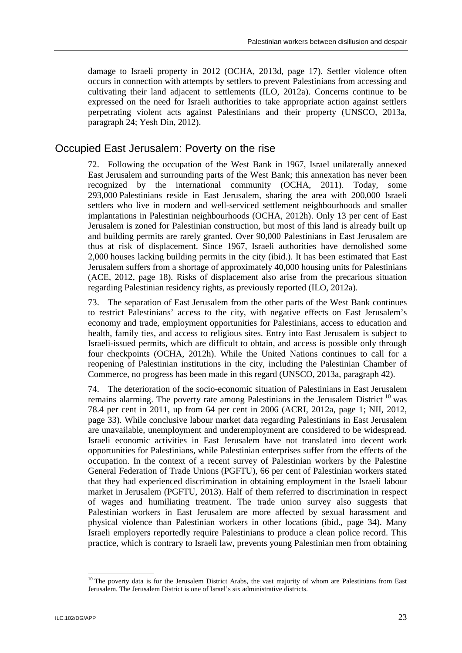damage to Israeli property in 2012 (OCHA, 2013d, page 17). Settler violence often occurs in connection with attempts by settlers to prevent Palestinians from accessing and cultivating their land adjacent to settlements (ILO, 2012a). Concerns continue to be expressed on the need for Israeli authorities to take appropriate action against settlers perpetrating violent acts against Palestinians and their property (UNSCO, 2013a, paragraph 24; Yesh Din, 2012).

### Occupied East Jerusalem: Poverty on the rise

72. Following the occupation of the West Bank in 1967, Israel unilaterally annexed East Jerusalem and surrounding parts of the West Bank; this annexation has never been recognized by the international community (OCHA, 2011). Today, some 293,000 Palestinians reside in East Jerusalem, sharing the area with 200,000 Israeli settlers who live in modern and well-serviced settlement neighbourhoods and smaller implantations in Palestinian neighbourhoods (OCHA, 2012h). Only 13 per cent of East Jerusalem is zoned for Palestinian construction, but most of this land is already built up and building permits are rarely granted. Over 90,000 Palestinians in East Jerusalem are thus at risk of displacement. Since 1967, Israeli authorities have demolished some 2,000 houses lacking building permits in the city (ibid.). It has been estimated that East Jerusalem suffers from a shortage of approximately 40,000 housing units for Palestinians (ACE, 2012, page 18). Risks of displacement also arise from the precarious situation regarding Palestinian residency rights, as previously reported (ILO, 2012a).

73. The separation of East Jerusalem from the other parts of the West Bank continues to restrict Palestinians' access to the city, with negative effects on East Jerusalem's economy and trade, employment opportunities for Palestinians, access to education and health, family ties, and access to religious sites. Entry into East Jerusalem is subject to Israeli-issued permits, which are difficult to obtain, and access is possible only through four checkpoints (OCHA, 2012h). While the United Nations continues to call for a reopening of Palestinian institutions in the city, including the Palestinian Chamber of Commerce, no progress has been made in this regard (UNSCO, 2013a, paragraph 42).

74. The deterioration of the socio-economic situation of Palestinians in East Jerusalem remains alarming. The poverty rate among Palestinians in the Jerusalem District  $^{10}$  was 78.4 per cent in 2011, up from 64 per cent in 2006 (ACRI, 2012a, page 1; NII, 2012, page 33). While conclusive labour market data regarding Palestinians in East Jerusalem are unavailable, unemployment and underemployment are considered to be widespread. Israeli economic activities in East Jerusalem have not translated into decent work opportunities for Palestinians, while Palestinian enterprises suffer from the effects of the occupation. In the context of a recent survey of Palestinian workers by the Palestine General Federation of Trade Unions (PGFTU), 66 per cent of Palestinian workers stated that they had experienced discrimination in obtaining employment in the Israeli labour market in Jerusalem (PGFTU, 2013). Half of them referred to discrimination in respect of wages and humiliating treatment. The trade union survey also suggests that Palestinian workers in East Jerusalem are more affected by sexual harassment and physical violence than Palestinian workers in other locations (ibid., page 34). Many Israeli employers reportedly require Palestinians to produce a clean police record. This practice, which is contrary to Israeli law, prevents young Palestinian men from obtaining

-

 $10$  The poverty data is for the Jerusalem District Arabs, the vast majority of whom are Palestinians from East Jerusalem. The Jerusalem District is one of Israel's six administrative districts.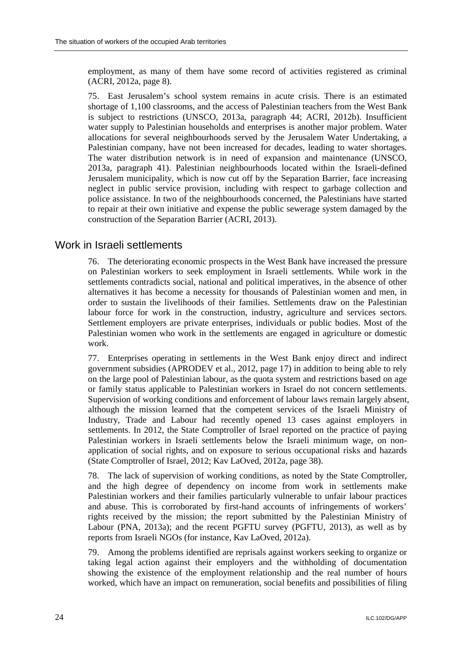employment, as many of them have some record of activities registered as criminal (ACRI, 2012a, page 8).

75. East Jerusalem's school system remains in acute crisis. There is an estimated shortage of 1,100 classrooms, and the access of Palestinian teachers from the West Bank is subject to restrictions (UNSCO, 2013a, paragraph 44; ACRI, 2012b). Insufficient water supply to Palestinian households and enterprises is another major problem. Water allocations for several neighbourhoods served by the Jerusalem Water Undertaking, a Palestinian company, have not been increased for decades, leading to water shortages. The water distribution network is in need of expansion and maintenance (UNSCO, 2013a, paragraph 41). Palestinian neighbourhoods located within the Israeli-defined Jerusalem municipality, which is now cut off by the Separation Barrier, face increasing neglect in public service provision, including with respect to garbage collection and police assistance. In two of the neighbourhoods concerned, the Palestinians have started to repair at their own initiative and expense the public sewerage system damaged by the construction of the Separation Barrier (ACRI, 2013).

### Work in Israeli settlements

76. The deteriorating economic prospects in the West Bank have increased the pressure on Palestinian workers to seek employment in Israeli settlements. While work in the settlements contradicts social, national and political imperatives, in the absence of other alternatives it has become a necessity for thousands of Palestinian women and men, in order to sustain the livelihoods of their families. Settlements draw on the Palestinian labour force for work in the construction, industry, agriculture and services sectors. Settlement employers are private enterprises, individuals or public bodies. Most of the Palestinian women who work in the settlements are engaged in agriculture or domestic work.

77. Enterprises operating in settlements in the West Bank enjoy direct and indirect government subsidies (APRODEV et al., 2012, page 17) in addition to being able to rely on the large pool of Palestinian labour, as the quota system and restrictions based on age or family status applicable to Palestinian workers in Israel do not concern settlements. Supervision of working conditions and enforcement of labour laws remain largely absent, although the mission learned that the competent services of the Israeli Ministry of Industry, Trade and Labour had recently opened 13 cases against employers in settlements. In 2012, the State Comptroller of Israel reported on the practice of paying Palestinian workers in Israeli settlements below the Israeli minimum wage, on nonapplication of social rights, and on exposure to serious occupational risks and hazards (State Comptroller of Israel, 2012; Kav LaOved, 2012a, page 38).

78. The lack of supervision of working conditions, as noted by the State Comptroller, and the high degree of dependency on income from work in settlements make Palestinian workers and their families particularly vulnerable to unfair labour practices and abuse. This is corroborated by first-hand accounts of infringements of workers' rights received by the mission; the report submitted by the Palestinian Ministry of Labour (PNA, 2013a); and the recent PGFTU survey (PGFTU, 2013), as well as by reports from Israeli NGOs (for instance, Kav LaOved, 2012a).

79. Among the problems identified are reprisals against workers seeking to organize or taking legal action against their employers and the withholding of documentation showing the existence of the employment relationship and the real number of hours worked, which have an impact on remuneration, social benefits and possibilities of filing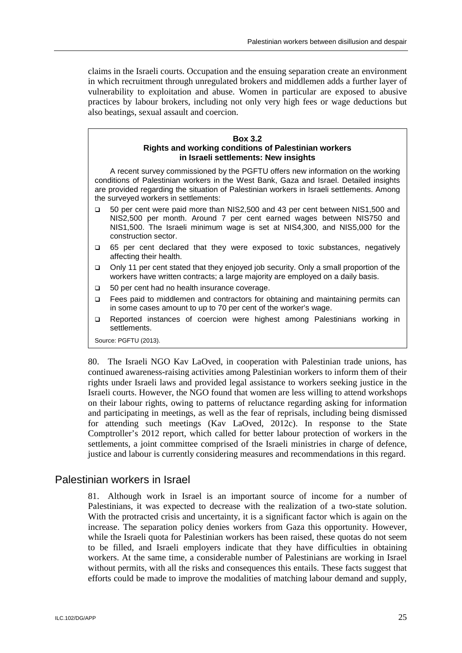claims in the Israeli courts. Occupation and the ensuing separation create an environment in which recruitment through unregulated brokers and middlemen adds a further layer of vulnerability to exploitation and abuse. Women in particular are exposed to abusive practices by labour brokers, including not only very high fees or wage deductions but also beatings, sexual assault and coercion.

#### **Box 3.2 Rights and working conditions of Palestinian workers in Israeli settlements: New insights**

A recent survey commissioned by the PGFTU offers new information on the working conditions of Palestinian workers in the West Bank, Gaza and Israel. Detailed insights are provided regarding the situation of Palestinian workers in Israeli settlements. Among the surveyed workers in settlements:

- 50 per cent were paid more than NIS2,500 and 43 per cent between NIS1,500 and NIS2,500 per month. Around 7 per cent earned wages between NIS750 and NIS1,500. The Israeli minimum wage is set at NIS4,300, and NIS5,000 for the construction sector.
- 65 per cent declared that they were exposed to toxic substances, negatively affecting their health.
- Only 11 per cent stated that they enjoyed job security. Only a small proportion of the workers have written contracts; a large majority are employed on a daily basis.
- 50 per cent had no health insurance coverage.
- □ Fees paid to middlemen and contractors for obtaining and maintaining permits can in some cases amount to up to 70 per cent of the worker's wage.
- Reported instances of coercion were highest among Palestinians working in settlements.

Source: PGFTU (2013).

80. The Israeli NGO Kav LaOved, in cooperation with Palestinian trade unions, has continued awareness-raising activities among Palestinian workers to inform them of their rights under Israeli laws and provided legal assistance to workers seeking justice in the Israeli courts. However, the NGO found that women are less willing to attend workshops on their labour rights, owing to patterns of reluctance regarding asking for information and participating in meetings, as well as the fear of reprisals, including being dismissed for attending such meetings (Kav LaOved, 2012c). In response to the State Comptroller's 2012 report, which called for better labour protection of workers in the settlements, a joint committee comprised of the Israeli ministries in charge of defence, justice and labour is currently considering measures and recommendations in this regard.

# Palestinian workers in Israel

81. Although work in Israel is an important source of income for a number of Palestinians, it was expected to decrease with the realization of a two-state solution. With the protracted crisis and uncertainty, it is a significant factor which is again on the increase. The separation policy denies workers from Gaza this opportunity. However, while the Israeli quota for Palestinian workers has been raised, these quotas do not seem to be filled, and Israeli employers indicate that they have difficulties in obtaining workers. At the same time, a considerable number of Palestinians are working in Israel without permits, with all the risks and consequences this entails. These facts suggest that efforts could be made to improve the modalities of matching labour demand and supply,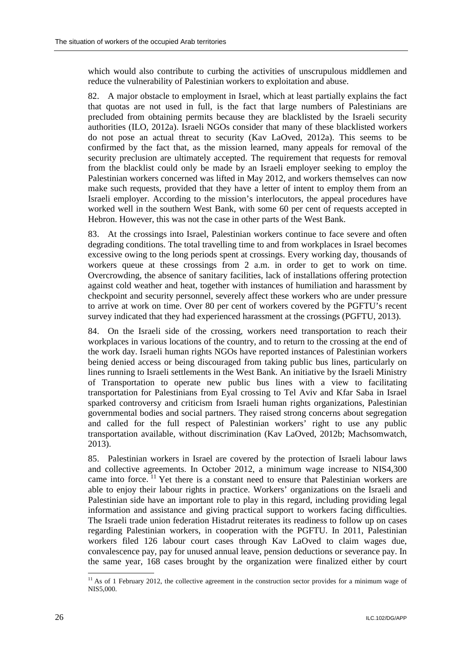which would also contribute to curbing the activities of unscrupulous middlemen and reduce the vulnerability of Palestinian workers to exploitation and abuse.

82. A major obstacle to employment in Israel, which at least partially explains the fact that quotas are not used in full, is the fact that large numbers of Palestinians are precluded from obtaining permits because they are blacklisted by the Israeli security authorities (ILO, 2012a). Israeli NGOs consider that many of these blacklisted workers do not pose an actual threat to security (Kav LaOved, 2012a). This seems to be confirmed by the fact that, as the mission learned, many appeals for removal of the security preclusion are ultimately accepted. The requirement that requests for removal from the blacklist could only be made by an Israeli employer seeking to employ the Palestinian workers concerned was lifted in May 2012, and workers themselves can now make such requests, provided that they have a letter of intent to employ them from an Israeli employer. According to the mission's interlocutors, the appeal procedures have worked well in the southern West Bank, with some 60 per cent of requests accepted in Hebron. However, this was not the case in other parts of the West Bank.

83. At the crossings into Israel, Palestinian workers continue to face severe and often degrading conditions. The total travelling time to and from workplaces in Israel becomes excessive owing to the long periods spent at crossings. Every working day, thousands of workers queue at these crossings from 2 a.m. in order to get to work on time. Overcrowding, the absence of sanitary facilities, lack of installations offering protection against cold weather and heat, together with instances of humiliation and harassment by checkpoint and security personnel, severely affect these workers who are under pressure to arrive at work on time. Over 80 per cent of workers covered by the PGFTU's recent survey indicated that they had experienced harassment at the crossings (PGFTU, 2013).

84. On the Israeli side of the crossing, workers need transportation to reach their workplaces in various locations of the country, and to return to the crossing at the end of the work day. Israeli human rights NGOs have reported instances of Palestinian workers being denied access or being discouraged from taking public bus lines, particularly on lines running to Israeli settlements in the West Bank. An initiative by the Israeli Ministry of Transportation to operate new public bus lines with a view to facilitating transportation for Palestinians from Eyal crossing to Tel Aviv and Kfar Saba in Israel sparked controversy and criticism from Israeli human rights organizations, Palestinian governmental bodies and social partners. They raised strong concerns about segregation and called for the full respect of Palestinian workers' right to use any public transportation available, without discrimination (Kav LaOved, 2012b; Machsomwatch, 2013).

85. Palestinian workers in Israel are covered by the protection of Israeli labour laws and collective agreements. In October 2012, a minimum wage increase to NIS4,300 came into force. <sup>11</sup> Yet there is a constant need to ensure that Palestinian workers are able to enjoy their labour rights in practice. Workers' organizations on the Israeli and Palestinian side have an important role to play in this regard, including providing legal information and assistance and giving practical support to workers facing difficulties. The Israeli trade union federation Histadrut reiterates its readiness to follow up on cases regarding Palestinian workers, in cooperation with the PGFTU. In 2011, Palestinian workers filed 126 labour court cases through Kav LaOved to claim wages due, convalescence pay, pay for unused annual leave, pension deductions or severance pay. In the same year, 168 cases brought by the organization were finalized either by court

-

 $11$  As of 1 February 2012, the collective agreement in the construction sector provides for a minimum wage of NIS5,000.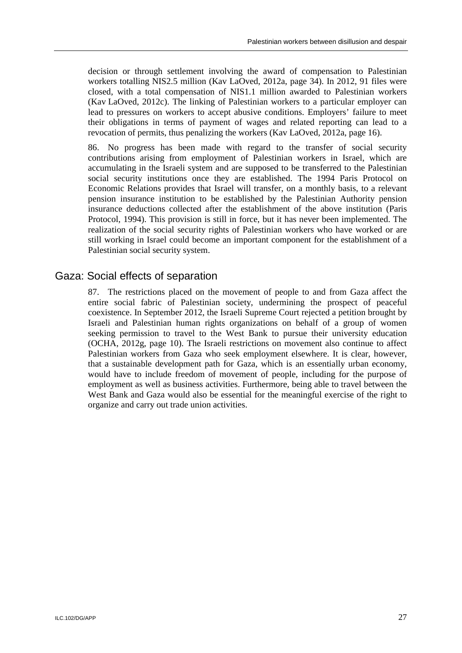decision or through settlement involving the award of compensation to Palestinian workers totalling NIS2.5 million (Kav LaOved, 2012a, page 34). In 2012, 91 files were closed, with a total compensation of NIS1.1 million awarded to Palestinian workers (Kav LaOved, 2012c). The linking of Palestinian workers to a particular employer can lead to pressures on workers to accept abusive conditions. Employers' failure to meet their obligations in terms of payment of wages and related reporting can lead to a revocation of permits, thus penalizing the workers (Kav LaOved, 2012a, page 16).

86. No progress has been made with regard to the transfer of social security contributions arising from employment of Palestinian workers in Israel, which are accumulating in the Israeli system and are supposed to be transferred to the Palestinian social security institutions once they are established. The 1994 Paris Protocol on Economic Relations provides that Israel will transfer, on a monthly basis, to a relevant pension insurance institution to be established by the Palestinian Authority pension insurance deductions collected after the establishment of the above institution (Paris Protocol, 1994). This provision is still in force, but it has never been implemented. The realization of the social security rights of Palestinian workers who have worked or are still working in Israel could become an important component for the establishment of a Palestinian social security system.

# Gaza: Social effects of separation

87. The restrictions placed on the movement of people to and from Gaza affect the entire social fabric of Palestinian society, undermining the prospect of peaceful coexistence. In September 2012, the Israeli Supreme Court rejected a petition brought by Israeli and Palestinian human rights organizations on behalf of a group of women seeking permission to travel to the West Bank to pursue their university education (OCHA, 2012g, page 10). The Israeli restrictions on movement also continue to affect Palestinian workers from Gaza who seek employment elsewhere. It is clear, however, that a sustainable development path for Gaza, which is an essentially urban economy, would have to include freedom of movement of people, including for the purpose of employment as well as business activities. Furthermore, being able to travel between the West Bank and Gaza would also be essential for the meaningful exercise of the right to organize and carry out trade union activities.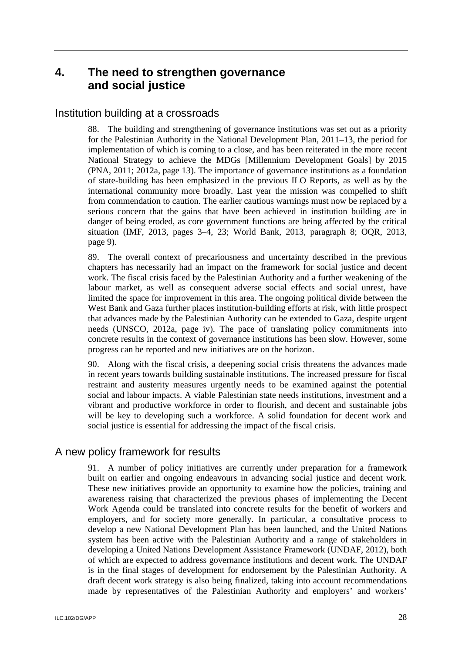# **4. The need to strengthen governance and social justice**

### Institution building at a crossroads

88. The building and strengthening of governance institutions was set out as a priority for the Palestinian Authority in the National Development Plan, 2011–13, the period for implementation of which is coming to a close, and has been reiterated in the more recent National Strategy to achieve the MDGs [Millennium Development Goals] by 2015 (PNA, 2011; 2012a, page 13). The importance of governance institutions as a foundation of state-building has been emphasized in the previous ILO Reports, as well as by the international community more broadly. Last year the mission was compelled to shift from commendation to caution. The earlier cautious warnings must now be replaced by a serious concern that the gains that have been achieved in institution building are in danger of being eroded, as core government functions are being affected by the critical situation (IMF, 2013, pages 3–4, 23; World Bank, 2013, paragraph 8; OQR, 2013, page 9).

89. The overall context of precariousness and uncertainty described in the previous chapters has necessarily had an impact on the framework for social justice and decent work. The fiscal crisis faced by the Palestinian Authority and a further weakening of the labour market, as well as consequent adverse social effects and social unrest, have limited the space for improvement in this area. The ongoing political divide between the West Bank and Gaza further places institution-building efforts at risk, with little prospect that advances made by the Palestinian Authority can be extended to Gaza, despite urgent needs (UNSCO, 2012a, page iv). The pace of translating policy commitments into concrete results in the context of governance institutions has been slow. However, some progress can be reported and new initiatives are on the horizon.

90. Along with the fiscal crisis, a deepening social crisis threatens the advances made in recent years towards building sustainable institutions. The increased pressure for fiscal restraint and austerity measures urgently needs to be examined against the potential social and labour impacts. A viable Palestinian state needs institutions, investment and a vibrant and productive workforce in order to flourish, and decent and sustainable jobs will be key to developing such a workforce. A solid foundation for decent work and social justice is essential for addressing the impact of the fiscal crisis.

# A new policy framework for results

91. A number of policy initiatives are currently under preparation for a framework built on earlier and ongoing endeavours in advancing social justice and decent work. These new initiatives provide an opportunity to examine how the policies, training and awareness raising that characterized the previous phases of implementing the Decent Work Agenda could be translated into concrete results for the benefit of workers and employers, and for society more generally. In particular, a consultative process to develop a new National Development Plan has been launched, and the United Nations system has been active with the Palestinian Authority and a range of stakeholders in developing a United Nations Development Assistance Framework (UNDAF, 2012), both of which are expected to address governance institutions and decent work. The UNDAF is in the final stages of development for endorsement by the Palestinian Authority. A draft decent work strategy is also being finalized, taking into account recommendations made by representatives of the Palestinian Authority and employers' and workers'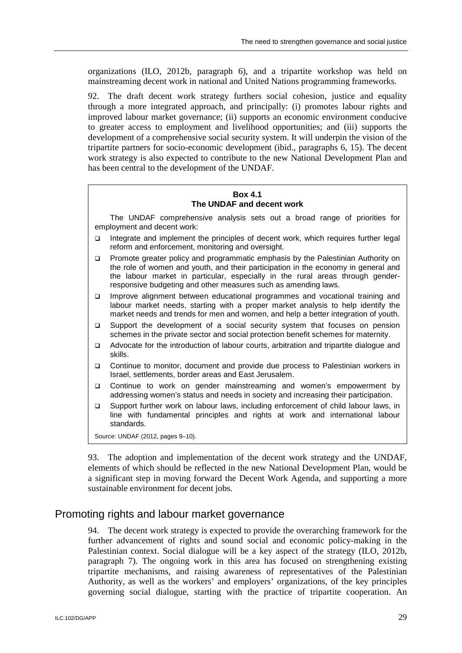organizations (ILO, 2012b, paragraph 6), and a tripartite workshop was held on mainstreaming decent work in national and United Nations programming frameworks.

92. The draft decent work strategy furthers social cohesion, justice and equality through a more integrated approach, and principally: (i) promotes labour rights and improved labour market governance; (ii) supports an economic environment conducive to greater access to employment and livelihood opportunities; and (iii) supports the development of a comprehensive social security system. It will underpin the vision of the tripartite partners for socio-economic development (ibid., paragraphs 6, 15). The decent work strategy is also expected to contribute to the new National Development Plan and has been central to the development of the UNDAF.

### **Box 4.1 The UNDAF and decent work**

The UNDAF comprehensive analysis sets out a broad range of priorities for employment and decent work:

- Integrate and implement the principles of decent work, which requires further legal reform and enforcement, monitoring and oversight.
- □ Promote greater policy and programmatic emphasis by the Palestinian Authority on the role of women and youth, and their participation in the economy in general and the labour market in particular, especially in the rural areas through genderresponsive budgeting and other measures such as amending laws.
- Improve alignment between educational programmes and vocational training and labour market needs, starting with a proper market analysis to help identify the market needs and trends for men and women, and help a better integration of youth.
- Support the development of a social security system that focuses on pension schemes in the private sector and social protection benefit schemes for maternity.
- Advocate for the introduction of labour courts, arbitration and tripartite dialogue and skills.
- Continue to monitor, document and provide due process to Palestinian workers in Israel, settlements, border areas and East Jerusalem.
- □ Continue to work on gender mainstreaming and women's empowerment by addressing women's status and needs in society and increasing their participation.
- Support further work on labour laws, including enforcement of child labour laws, in line with fundamental principles and rights at work and international labour standards.

Source: UNDAF (2012, pages 9–10).

93. The adoption and implementation of the decent work strategy and the UNDAF, elements of which should be reflected in the new National Development Plan, would be a significant step in moving forward the Decent Work Agenda, and supporting a more sustainable environment for decent jobs.

# Promoting rights and labour market governance

94. The decent work strategy is expected to provide the overarching framework for the further advancement of rights and sound social and economic policy-making in the Palestinian context. Social dialogue will be a key aspect of the strategy (ILO, 2012b, paragraph 7). The ongoing work in this area has focused on strengthening existing tripartite mechanisms, and raising awareness of representatives of the Palestinian Authority, as well as the workers' and employers' organizations, of the key principles governing social dialogue, starting with the practice of tripartite cooperation. An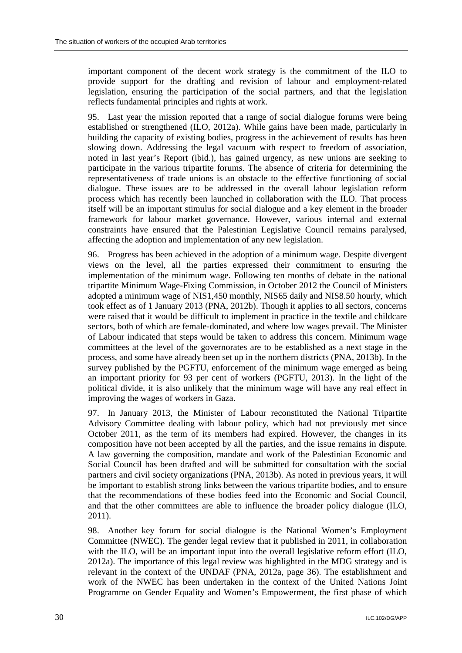important component of the decent work strategy is the commitment of the ILO to provide support for the drafting and revision of labour and employment-related legislation, ensuring the participation of the social partners, and that the legislation reflects fundamental principles and rights at work.

95. Last year the mission reported that a range of social dialogue forums were being established or strengthened (ILO, 2012a). While gains have been made, particularly in building the capacity of existing bodies, progress in the achievement of results has been slowing down. Addressing the legal vacuum with respect to freedom of association, noted in last year's Report (ibid.), has gained urgency, as new unions are seeking to participate in the various tripartite forums. The absence of criteria for determining the representativeness of trade unions is an obstacle to the effective functioning of social dialogue. These issues are to be addressed in the overall labour legislation reform process which has recently been launched in collaboration with the ILO. That process itself will be an important stimulus for social dialogue and a key element in the broader framework for labour market governance. However, various internal and external constraints have ensured that the Palestinian Legislative Council remains paralysed, affecting the adoption and implementation of any new legislation.

96. Progress has been achieved in the adoption of a minimum wage. Despite divergent views on the level, all the parties expressed their commitment to ensuring the implementation of the minimum wage. Following ten months of debate in the national tripartite Minimum Wage-Fixing Commission, in October 2012 the Council of Ministers adopted a minimum wage of NIS1,450 monthly, NIS65 daily and NIS8.50 hourly, which took effect as of 1 January 2013 (PNA, 2012b). Though it applies to all sectors, concerns were raised that it would be difficult to implement in practice in the textile and childcare sectors, both of which are female-dominated, and where low wages prevail. The Minister of Labour indicated that steps would be taken to address this concern. Minimum wage committees at the level of the governorates are to be established as a next stage in the process, and some have already been set up in the northern districts (PNA, 2013b). In the survey published by the PGFTU, enforcement of the minimum wage emerged as being an important priority for 93 per cent of workers (PGFTU, 2013). In the light of the political divide, it is also unlikely that the minimum wage will have any real effect in improving the wages of workers in Gaza.

97. In January 2013, the Minister of Labour reconstituted the National Tripartite Advisory Committee dealing with labour policy, which had not previously met since October 2011, as the term of its members had expired. However, the changes in its composition have not been accepted by all the parties, and the issue remains in dispute. A law governing the composition, mandate and work of the Palestinian Economic and Social Council has been drafted and will be submitted for consultation with the social partners and civil society organizations (PNA, 2013b). As noted in previous years, it will be important to establish strong links between the various tripartite bodies, and to ensure that the recommendations of these bodies feed into the Economic and Social Council, and that the other committees are able to influence the broader policy dialogue (ILO, 2011).

98. Another key forum for social dialogue is the National Women's Employment Committee (NWEC). The gender legal review that it published in 2011, in collaboration with the ILO, will be an important input into the overall legislative reform effort (ILO, 2012a). The importance of this legal review was highlighted in the MDG strategy and is relevant in the context of the UNDAF (PNA, 2012a, page 36). The establishment and work of the NWEC has been undertaken in the context of the United Nations Joint Programme on Gender Equality and Women's Empowerment, the first phase of which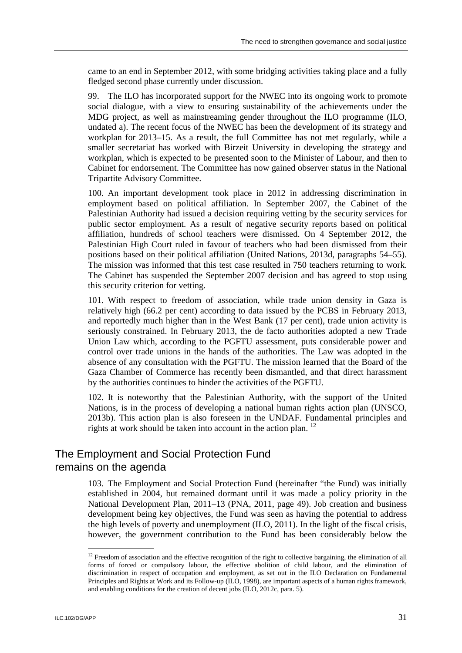came to an end in September 2012, with some bridging activities taking place and a fully fledged second phase currently under discussion.

99. The ILO has incorporated support for the NWEC into its ongoing work to promote social dialogue, with a view to ensuring sustainability of the achievements under the MDG project, as well as mainstreaming gender throughout the ILO programme (ILO, undated a). The recent focus of the NWEC has been the development of its strategy and workplan for 2013–15. As a result, the full Committee has not met regularly, while a smaller secretariat has worked with Birzeit University in developing the strategy and workplan, which is expected to be presented soon to the Minister of Labour, and then to Cabinet for endorsement. The Committee has now gained observer status in the National Tripartite Advisory Committee.

100. An important development took place in 2012 in addressing discrimination in employment based on political affiliation. In September 2007, the Cabinet of the Palestinian Authority had issued a decision requiring vetting by the security services for public sector employment. As a result of negative security reports based on political affiliation, hundreds of school teachers were dismissed. On 4 September 2012, the Palestinian High Court ruled in favour of teachers who had been dismissed from their positions based on their political affiliation (United Nations, 2013d, paragraphs 54–55). The mission was informed that this test case resulted in 750 teachers returning to work. The Cabinet has suspended the September 2007 decision and has agreed to stop using this security criterion for vetting.

101. With respect to freedom of association, while trade union density in Gaza is relatively high (66.2 per cent) according to data issued by the PCBS in February 2013, and reportedly much higher than in the West Bank (17 per cent), trade union activity is seriously constrained. In February 2013, the de facto authorities adopted a new Trade Union Law which, according to the PGFTU assessment, puts considerable power and control over trade unions in the hands of the authorities. The Law was adopted in the absence of any consultation with the PGFTU. The mission learned that the Board of the Gaza Chamber of Commerce has recently been dismantled, and that direct harassment by the authorities continues to hinder the activities of the PGFTU.

102. It is noteworthy that the Palestinian Authority, with the support of the United Nations, is in the process of developing a national human rights action plan (UNSCO, 2013b). This action plan is also foreseen in the UNDAF. Fundamental principles and rights at work should be taken into account in the action plan.  $^{12}$ 

# The Employment and Social Protection Fund remains on the agenda

103. The Employment and Social Protection Fund (hereinafter "the Fund) was initially established in 2004, but remained dormant until it was made a policy priority in the National Development Plan, 2011–13 (PNA, 2011, page 49). Job creation and business development being key objectives, the Fund was seen as having the potential to address the high levels of poverty and unemployment (ILO, 2011). In the light of the fiscal crisis, however, the government contribution to the Fund has been considerably below the

-

 $12$  Freedom of association and the effective recognition of the right to collective bargaining, the elimination of all forms of forced or compulsory labour, the effective abolition of child labour, and the elimination of discrimination in respect of occupation and employment, as set out in the ILO Declaration on Fundamental Principles and Rights at Work and its Follow-up (ILO, 1998), are important aspects of a human rights framework, and enabling conditions for the creation of decent jobs (ILO, 2012c, para. 5).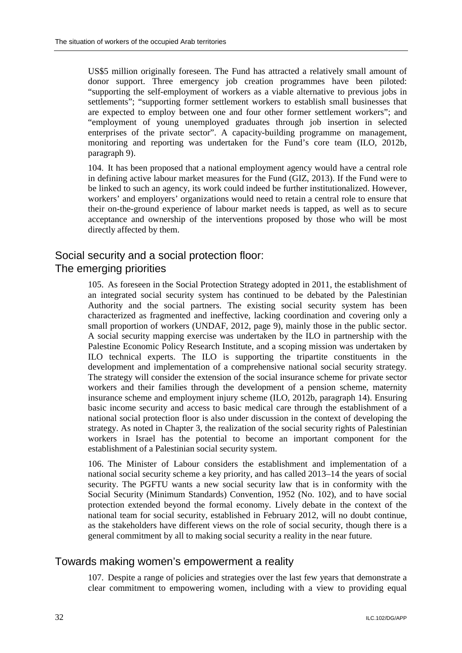US\$5 million originally foreseen. The Fund has attracted a relatively small amount of donor support. Three emergency job creation programmes have been piloted: "supporting the self-employment of workers as a viable alternative to previous jobs in settlements"; "supporting former settlement workers to establish small businesses that are expected to employ between one and four other former settlement workers"; and "employment of young unemployed graduates through job insertion in selected enterprises of the private sector". A capacity-building programme on management, monitoring and reporting was undertaken for the Fund's core team (ILO, 2012b, paragraph 9).

104. It has been proposed that a national employment agency would have a central role in defining active labour market measures for the Fund (GIZ, 2013). If the Fund were to be linked to such an agency, its work could indeed be further institutionalized. However, workers' and employers' organizations would need to retain a central role to ensure that their on-the-ground experience of labour market needs is tapped, as well as to secure acceptance and ownership of the interventions proposed by those who will be most directly affected by them.

# Social security and a social protection floor: The emerging priorities

105. As foreseen in the Social Protection Strategy adopted in 2011, the establishment of an integrated social security system has continued to be debated by the Palestinian Authority and the social partners. The existing social security system has been characterized as fragmented and ineffective, lacking coordination and covering only a small proportion of workers (UNDAF, 2012, page 9), mainly those in the public sector. A social security mapping exercise was undertaken by the ILO in partnership with the Palestine Economic Policy Research Institute, and a scoping mission was undertaken by ILO technical experts. The ILO is supporting the tripartite constituents in the development and implementation of a comprehensive national social security strategy. The strategy will consider the extension of the social insurance scheme for private sector workers and their families through the development of a pension scheme, maternity insurance scheme and employment injury scheme (ILO, 2012b, paragraph 14). Ensuring basic income security and access to basic medical care through the establishment of a national social protection floor is also under discussion in the context of developing the strategy. As noted in Chapter 3, the realization of the social security rights of Palestinian workers in Israel has the potential to become an important component for the establishment of a Palestinian social security system.

106. The Minister of Labour considers the establishment and implementation of a national social security scheme a key priority, and has called 2013–14 the years of social security. The PGFTU wants a new social security law that is in conformity with the Social Security (Minimum Standards) Convention, 1952 (No. 102), and to have social protection extended beyond the formal economy. Lively debate in the context of the national team for social security, established in February 2012, will no doubt continue, as the stakeholders have different views on the role of social security, though there is a general commitment by all to making social security a reality in the near future.

# Towards making women's empowerment a reality

107. Despite a range of policies and strategies over the last few years that demonstrate a clear commitment to empowering women, including with a view to providing equal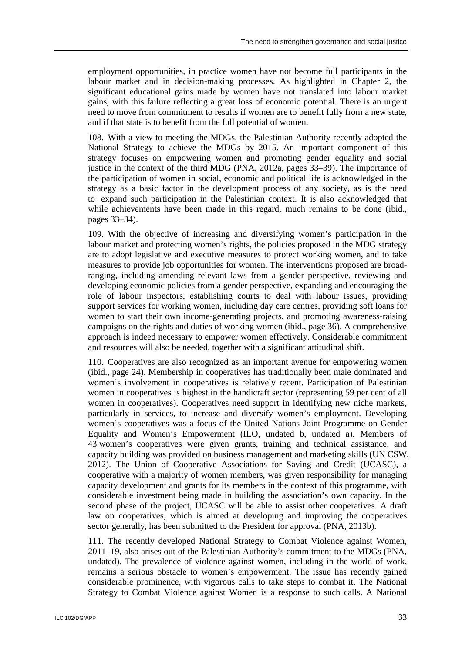employment opportunities, in practice women have not become full participants in the labour market and in decision-making processes. As highlighted in Chapter 2, the significant educational gains made by women have not translated into labour market gains, with this failure reflecting a great loss of economic potential. There is an urgent need to move from commitment to results if women are to benefit fully from a new state, and if that state is to benefit from the full potential of women.

108. With a view to meeting the MDGs, the Palestinian Authority recently adopted the National Strategy to achieve the MDGs by 2015. An important component of this strategy focuses on empowering women and promoting gender equality and social justice in the context of the third MDG (PNA, 2012a, pages 33–39). The importance of the participation of women in social, economic and political life is acknowledged in the strategy as a basic factor in the development process of any society, as is the need to expand such participation in the Palestinian context. It is also acknowledged that while achievements have been made in this regard, much remains to be done (ibid., pages 33–34).

109. With the objective of increasing and diversifying women's participation in the labour market and protecting women's rights, the policies proposed in the MDG strategy are to adopt legislative and executive measures to protect working women, and to take measures to provide job opportunities for women. The interventions proposed are broadranging, including amending relevant laws from a gender perspective, reviewing and developing economic policies from a gender perspective, expanding and encouraging the role of labour inspectors, establishing courts to deal with labour issues, providing support services for working women, including day care centres, providing soft loans for women to start their own income-generating projects, and promoting awareness-raising campaigns on the rights and duties of working women (ibid., page 36). A comprehensive approach is indeed necessary to empower women effectively. Considerable commitment and resources will also be needed, together with a significant attitudinal shift.

110. Cooperatives are also recognized as an important avenue for empowering women (ibid., page 24). Membership in cooperatives has traditionally been male dominated and women's involvement in cooperatives is relatively recent. Participation of Palestinian women in cooperatives is highest in the handicraft sector (representing 59 per cent of all women in cooperatives). Cooperatives need support in identifying new niche markets, particularly in services, to increase and diversify women's employment. Developing women's cooperatives was a focus of the United Nations Joint Programme on Gender Equality and Women's Empowerment (ILO, undated b, undated a). Members of 43 women's cooperatives were given grants, training and technical assistance, and capacity building was provided on business management and marketing skills (UN CSW, 2012). The Union of Cooperative Associations for Saving and Credit (UCASC), a cooperative with a majority of women members, was given responsibility for managing capacity development and grants for its members in the context of this programme, with considerable investment being made in building the association's own capacity. In the second phase of the project, UCASC will be able to assist other cooperatives. A draft law on cooperatives, which is aimed at developing and improving the cooperatives sector generally, has been submitted to the President for approval (PNA, 2013b).

111. The recently developed National Strategy to Combat Violence against Women, 2011–19, also arises out of the Palestinian Authority's commitment to the MDGs (PNA, undated). The prevalence of violence against women, including in the world of work, remains a serious obstacle to women's empowerment. The issue has recently gained considerable prominence, with vigorous calls to take steps to combat it. The National Strategy to Combat Violence against Women is a response to such calls. A National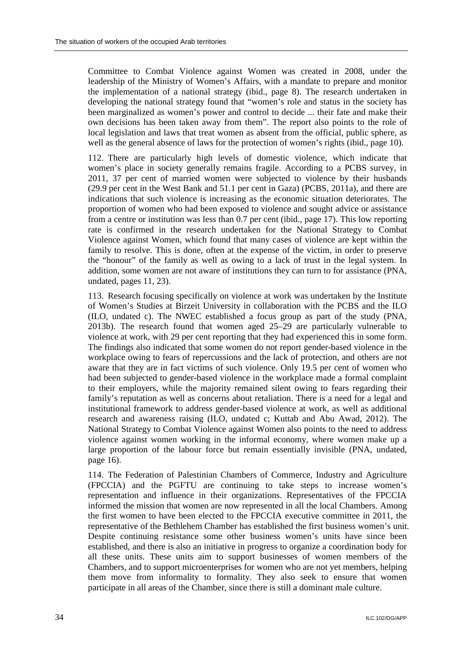Committee to Combat Violence against Women was created in 2008, under the leadership of the Ministry of Women's Affairs, with a mandate to prepare and monitor the implementation of a national strategy (ibid., page 8). The research undertaken in developing the national strategy found that "women's role and status in the society has been marginalized as women's power and control to decide ... their fate and make their own decisions has been taken away from them". The report also points to the role of local legislation and laws that treat women as absent from the official, public sphere, as well as the general absence of laws for the protection of women's rights (ibid., page 10).

112. There are particularly high levels of domestic violence, which indicate that women's place in society generally remains fragile. According to a PCBS survey, in 2011, 37 per cent of married women were subjected to violence by their husbands (29.9 per cent in the West Bank and 51.1 per cent in Gaza) (PCBS, 2011a), and there are indications that such violence is increasing as the economic situation deteriorates. The proportion of women who had been exposed to violence and sought advice or assistance from a centre or institution was less than 0.7 per cent (ibid., page 17). This low reporting rate is confirmed in the research undertaken for the National Strategy to Combat Violence against Women, which found that many cases of violence are kept within the family to resolve. This is done, often at the expense of the victim, in order to preserve the "honour" of the family as well as owing to a lack of trust in the legal system. In addition, some women are not aware of institutions they can turn to for assistance (PNA, undated, pages 11, 23).

113. Research focusing specifically on violence at work was undertaken by the Institute of Women's Studies at Birzeit University in collaboration with the PCBS and the ILO (ILO, undated c). The NWEC established a focus group as part of the study (PNA, 2013b). The research found that women aged 25–29 are particularly vulnerable to violence at work, with 29 per cent reporting that they had experienced this in some form. The findings also indicated that some women do not report gender-based violence in the workplace owing to fears of repercussions and the lack of protection, and others are not aware that they are in fact victims of such violence. Only 19.5 per cent of women who had been subjected to gender-based violence in the workplace made a formal complaint to their employers, while the majority remained silent owing to fears regarding their family's reputation as well as concerns about retaliation. There is a need for a legal and institutional framework to address gender-based violence at work, as well as additional research and awareness raising (ILO, undated c; Kuttab and Abu Awad, 2012). The National Strategy to Combat Violence against Women also points to the need to address violence against women working in the informal economy, where women make up a large proportion of the labour force but remain essentially invisible (PNA, undated, page 16).

114. The Federation of Palestinian Chambers of Commerce, Industry and Agriculture (FPCCIA) and the PGFTU are continuing to take steps to increase women's representation and influence in their organizations. Representatives of the FPCCIA informed the mission that women are now represented in all the local Chambers. Among the first women to have been elected to the FPCCIA executive committee in 2011, the representative of the Bethlehem Chamber has established the first business women's unit. Despite continuing resistance some other business women's units have since been established, and there is also an initiative in progress to organize a coordination body for all these units. These units aim to support businesses of women members of the Chambers, and to support microenterprises for women who are not yet members, helping them move from informality to formality. They also seek to ensure that women participate in all areas of the Chamber, since there is still a dominant male culture.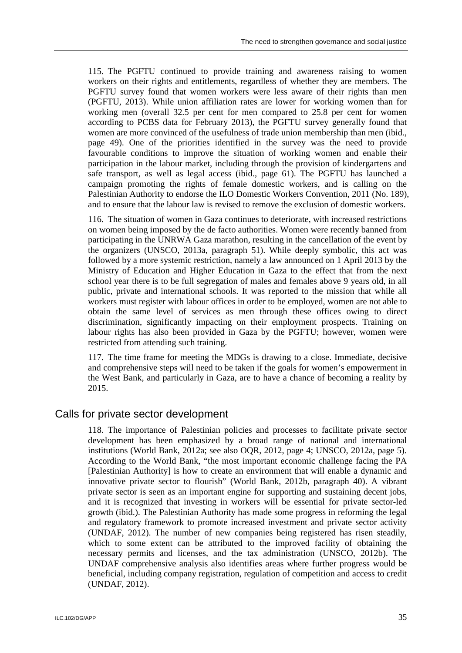115. The PGFTU continued to provide training and awareness raising to women workers on their rights and entitlements, regardless of whether they are members. The PGFTU survey found that women workers were less aware of their rights than men (PGFTU, 2013). While union affiliation rates are lower for working women than for working men (overall 32.5 per cent for men compared to 25.8 per cent for women according to PCBS data for February 2013), the PGFTU survey generally found that women are more convinced of the usefulness of trade union membership than men (ibid., page 49). One of the priorities identified in the survey was the need to provide favourable conditions to improve the situation of working women and enable their participation in the labour market, including through the provision of kindergartens and safe transport, as well as legal access (ibid., page 61). The PGFTU has launched a campaign promoting the rights of female domestic workers, and is calling on the Palestinian Authority to endorse the ILO Domestic Workers Convention, 2011 (No. 189), and to ensure that the labour law is revised to remove the exclusion of domestic workers.

116. The situation of women in Gaza continues to deteriorate, with increased restrictions on women being imposed by the de facto authorities. Women were recently banned from participating in the UNRWA Gaza marathon, resulting in the cancellation of the event by the organizers (UNSCO, 2013a, paragraph 51). While deeply symbolic, this act was followed by a more systemic restriction, namely a law announced on 1 April 2013 by the Ministry of Education and Higher Education in Gaza to the effect that from the next school year there is to be full segregation of males and females above 9 years old, in all public, private and international schools. It was reported to the mission that while all workers must register with labour offices in order to be employed, women are not able to obtain the same level of services as men through these offices owing to direct discrimination, significantly impacting on their employment prospects. Training on labour rights has also been provided in Gaza by the PGFTU; however, women were restricted from attending such training.

117. The time frame for meeting the MDGs is drawing to a close. Immediate, decisive and comprehensive steps will need to be taken if the goals for women's empowerment in the West Bank, and particularly in Gaza, are to have a chance of becoming a reality by 2015.

### Calls for private sector development

118. The importance of Palestinian policies and processes to facilitate private sector development has been emphasized by a broad range of national and international institutions (World Bank, 2012a; see also OQR, 2012, page 4; UNSCO, 2012a, page 5). According to the World Bank, "the most important economic challenge facing the PA [Palestinian Authority] is how to create an environment that will enable a dynamic and innovative private sector to flourish" (World Bank, 2012b, paragraph 40). A vibrant private sector is seen as an important engine for supporting and sustaining decent jobs, and it is recognized that investing in workers will be essential for private sector-led growth (ibid.). The Palestinian Authority has made some progress in reforming the legal and regulatory framework to promote increased investment and private sector activity (UNDAF, 2012). The number of new companies being registered has risen steadily, which to some extent can be attributed to the improved facility of obtaining the necessary permits and licenses, and the tax administration (UNSCO, 2012b). The UNDAF comprehensive analysis also identifies areas where further progress would be beneficial, including company registration, regulation of competition and access to credit (UNDAF, 2012).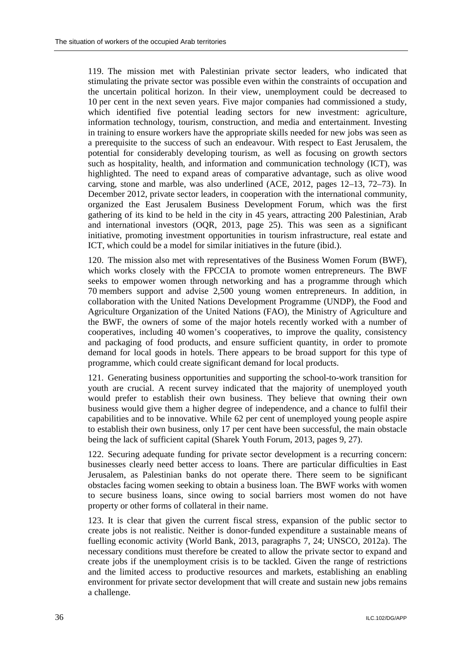119. The mission met with Palestinian private sector leaders, who indicated that stimulating the private sector was possible even within the constraints of occupation and the uncertain political horizon. In their view, unemployment could be decreased to 10 per cent in the next seven years. Five major companies had commissioned a study, which identified five potential leading sectors for new investment: agriculture, information technology, tourism, construction, and media and entertainment. Investing in training to ensure workers have the appropriate skills needed for new jobs was seen as a prerequisite to the success of such an endeavour. With respect to East Jerusalem, the potential for considerably developing tourism, as well as focusing on growth sectors such as hospitality, health, and information and communication technology (ICT), was highlighted. The need to expand areas of comparative advantage, such as olive wood carving, stone and marble, was also underlined (ACE, 2012, pages 12–13, 72–73). In December 2012, private sector leaders, in cooperation with the international community, organized the East Jerusalem Business Development Forum, which was the first gathering of its kind to be held in the city in 45 years, attracting 200 Palestinian, Arab and international investors (OQR, 2013, page 25). This was seen as a significant initiative, promoting investment opportunities in tourism infrastructure, real estate and ICT, which could be a model for similar initiatives in the future (ibid.).

120. The mission also met with representatives of the Business Women Forum (BWF), which works closely with the FPCCIA to promote women entrepreneurs. The BWF seeks to empower women through networking and has a programme through which 70 members support and advise 2,500 young women entrepreneurs. In addition, in collaboration with the United Nations Development Programme (UNDP), the Food and Agriculture Organization of the United Nations (FAO), the Ministry of Agriculture and the BWF, the owners of some of the major hotels recently worked with a number of cooperatives, including 40 women's cooperatives, to improve the quality, consistency and packaging of food products, and ensure sufficient quantity, in order to promote demand for local goods in hotels. There appears to be broad support for this type of programme, which could create significant demand for local products.

121. Generating business opportunities and supporting the school-to-work transition for youth are crucial. A recent survey indicated that the majority of unemployed youth would prefer to establish their own business. They believe that owning their own business would give them a higher degree of independence, and a chance to fulfil their capabilities and to be innovative. While 62 per cent of unemployed young people aspire to establish their own business, only 17 per cent have been successful, the main obstacle being the lack of sufficient capital (Sharek Youth Forum, 2013, pages 9, 27).

122. Securing adequate funding for private sector development is a recurring concern: businesses clearly need better access to loans. There are particular difficulties in East Jerusalem, as Palestinian banks do not operate there. There seem to be significant obstacles facing women seeking to obtain a business loan. The BWF works with women to secure business loans, since owing to social barriers most women do not have property or other forms of collateral in their name.

123. It is clear that given the current fiscal stress, expansion of the public sector to create jobs is not realistic. Neither is donor-funded expenditure a sustainable means of fuelling economic activity (World Bank, 2013, paragraphs 7, 24; UNSCO, 2012a). The necessary conditions must therefore be created to allow the private sector to expand and create jobs if the unemployment crisis is to be tackled. Given the range of restrictions and the limited access to productive resources and markets, establishing an enabling environment for private sector development that will create and sustain new jobs remains a challenge.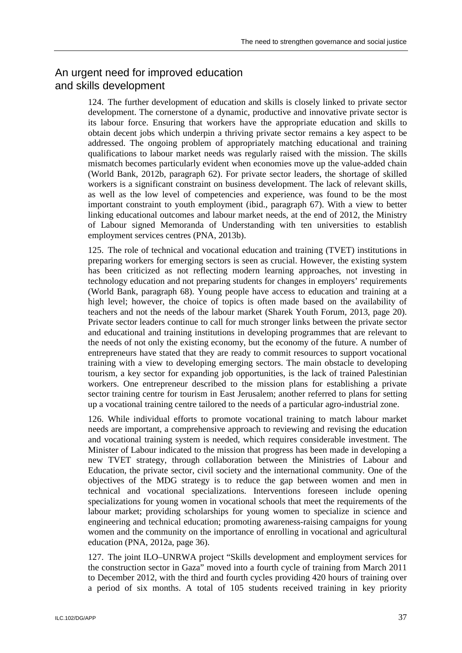# An urgent need for improved education and skills development

124. The further development of education and skills is closely linked to private sector development. The cornerstone of a dynamic, productive and innovative private sector is its labour force. Ensuring that workers have the appropriate education and skills to obtain decent jobs which underpin a thriving private sector remains a key aspect to be addressed. The ongoing problem of appropriately matching educational and training qualifications to labour market needs was regularly raised with the mission. The skills mismatch becomes particularly evident when economies move up the value-added chain (World Bank, 2012b, paragraph 62). For private sector leaders, the shortage of skilled workers is a significant constraint on business development. The lack of relevant skills, as well as the low level of competencies and experience, was found to be the most important constraint to youth employment (ibid., paragraph 67). With a view to better linking educational outcomes and labour market needs, at the end of 2012, the Ministry of Labour signed Memoranda of Understanding with ten universities to establish employment services centres (PNA, 2013b).

125. The role of technical and vocational education and training (TVET) institutions in preparing workers for emerging sectors is seen as crucial. However, the existing system has been criticized as not reflecting modern learning approaches, not investing in technology education and not preparing students for changes in employers' requirements (World Bank, paragraph 68). Young people have access to education and training at a high level; however, the choice of topics is often made based on the availability of teachers and not the needs of the labour market (Sharek Youth Forum, 2013, page 20). Private sector leaders continue to call for much stronger links between the private sector and educational and training institutions in developing programmes that are relevant to the needs of not only the existing economy, but the economy of the future. A number of entrepreneurs have stated that they are ready to commit resources to support vocational training with a view to developing emerging sectors. The main obstacle to developing tourism, a key sector for expanding job opportunities, is the lack of trained Palestinian workers. One entrepreneur described to the mission plans for establishing a private sector training centre for tourism in East Jerusalem; another referred to plans for setting up a vocational training centre tailored to the needs of a particular agro-industrial zone.

126. While individual efforts to promote vocational training to match labour market needs are important, a comprehensive approach to reviewing and revising the education and vocational training system is needed, which requires considerable investment. The Minister of Labour indicated to the mission that progress has been made in developing a new TVET strategy, through collaboration between the Ministries of Labour and Education, the private sector, civil society and the international community. One of the objectives of the MDG strategy is to reduce the gap between women and men in technical and vocational specializations. Interventions foreseen include opening specializations for young women in vocational schools that meet the requirements of the labour market; providing scholarships for young women to specialize in science and engineering and technical education; promoting awareness-raising campaigns for young women and the community on the importance of enrolling in vocational and agricultural education (PNA, 2012a, page 36).

127. The joint ILO–UNRWA project "Skills development and employment services for the construction sector in Gaza" moved into a fourth cycle of training from March 2011 to December 2012, with the third and fourth cycles providing 420 hours of training over a period of six months. A total of 105 students received training in key priority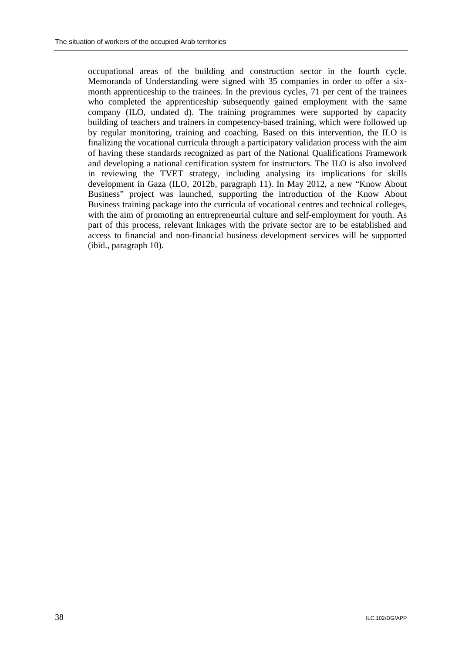occupational areas of the building and construction sector in the fourth cycle. Memoranda of Understanding were signed with 35 companies in order to offer a sixmonth apprenticeship to the trainees. In the previous cycles, 71 per cent of the trainees who completed the apprenticeship subsequently gained employment with the same company (ILO, undated d). The training programmes were supported by capacity building of teachers and trainers in competency-based training, which were followed up by regular monitoring, training and coaching. Based on this intervention, the ILO is finalizing the vocational curricula through a participatory validation process with the aim of having these standards recognized as part of the National Qualifications Framework and developing a national certification system for instructors. The ILO is also involved in reviewing the TVET strategy, including analysing its implications for skills development in Gaza (ILO, 2012b, paragraph 11). In May 2012, a new "Know About Business" project was launched, supporting the introduction of the Know About Business training package into the curricula of vocational centres and technical colleges, with the aim of promoting an entrepreneurial culture and self-employment for youth. As part of this process, relevant linkages with the private sector are to be established and access to financial and non-financial business development services will be supported (ibid., paragraph 10).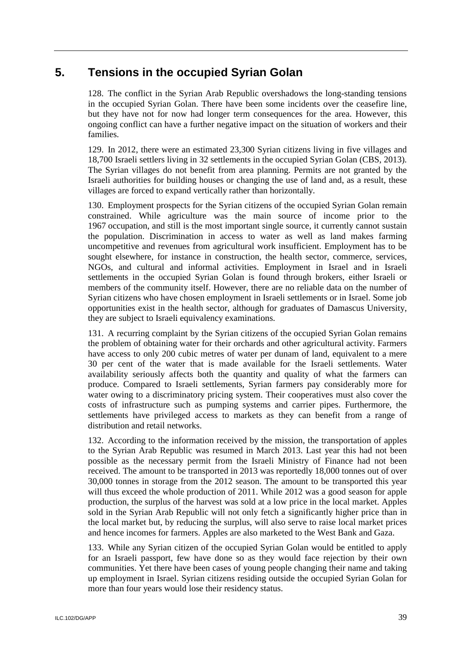# **5. Tensions in the occupied Syrian Golan**

128. The conflict in the Syrian Arab Republic overshadows the long-standing tensions in the occupied Syrian Golan. There have been some incidents over the ceasefire line, but they have not for now had longer term consequences for the area. However, this ongoing conflict can have a further negative impact on the situation of workers and their families.

129. In 2012, there were an estimated 23,300 Syrian citizens living in five villages and 18,700 Israeli settlers living in 32 settlements in the occupied Syrian Golan (CBS, 2013). The Syrian villages do not benefit from area planning. Permits are not granted by the Israeli authorities for building houses or changing the use of land and, as a result, these villages are forced to expand vertically rather than horizontally.

130. Employment prospects for the Syrian citizens of the occupied Syrian Golan remain constrained. While agriculture was the main source of income prior to the 1967 occupation, and still is the most important single source, it currently cannot sustain the population. Discrimination in access to water as well as land makes farming uncompetitive and revenues from agricultural work insufficient. Employment has to be sought elsewhere, for instance in construction, the health sector, commerce, services, NGOs, and cultural and informal activities. Employment in Israel and in Israeli settlements in the occupied Syrian Golan is found through brokers, either Israeli or members of the community itself. However, there are no reliable data on the number of Syrian citizens who have chosen employment in Israeli settlements or in Israel. Some job opportunities exist in the health sector, although for graduates of Damascus University, they are subject to Israeli equivalency examinations.

131. A recurring complaint by the Syrian citizens of the occupied Syrian Golan remains the problem of obtaining water for their orchards and other agricultural activity. Farmers have access to only 200 cubic metres of water per dunam of land, equivalent to a mere 30 per cent of the water that is made available for the Israeli settlements. Water availability seriously affects both the quantity and quality of what the farmers can produce. Compared to Israeli settlements, Syrian farmers pay considerably more for water owing to a discriminatory pricing system. Their cooperatives must also cover the costs of infrastructure such as pumping systems and carrier pipes. Furthermore, the settlements have privileged access to markets as they can benefit from a range of distribution and retail networks.

132. According to the information received by the mission, the transportation of apples to the Syrian Arab Republic was resumed in March 2013. Last year this had not been possible as the necessary permit from the Israeli Ministry of Finance had not been received. The amount to be transported in 2013 was reportedly 18,000 tonnes out of over 30,000 tonnes in storage from the 2012 season. The amount to be transported this year will thus exceed the whole production of 2011. While 2012 was a good season for apple production, the surplus of the harvest was sold at a low price in the local market. Apples sold in the Syrian Arab Republic will not only fetch a significantly higher price than in the local market but, by reducing the surplus, will also serve to raise local market prices and hence incomes for farmers. Apples are also marketed to the West Bank and Gaza.

133. While any Syrian citizen of the occupied Syrian Golan would be entitled to apply for an Israeli passport, few have done so as they would face rejection by their own communities. Yet there have been cases of young people changing their name and taking up employment in Israel. Syrian citizens residing outside the occupied Syrian Golan for more than four years would lose their residency status.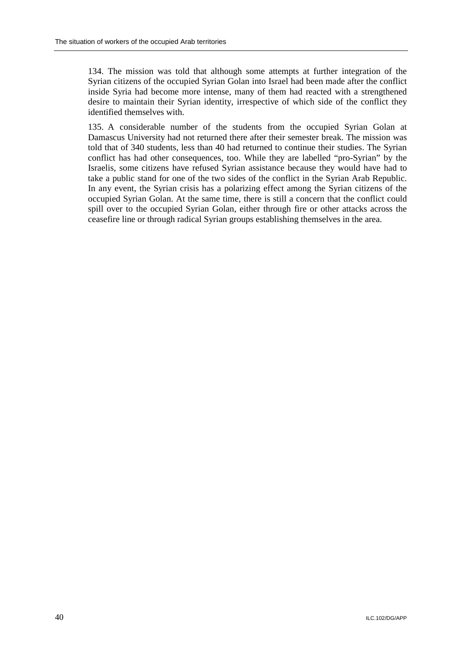134. The mission was told that although some attempts at further integration of the Syrian citizens of the occupied Syrian Golan into Israel had been made after the conflict inside Syria had become more intense, many of them had reacted with a strengthened desire to maintain their Syrian identity, irrespective of which side of the conflict they identified themselves with.

135. A considerable number of the students from the occupied Syrian Golan at Damascus University had not returned there after their semester break. The mission was told that of 340 students, less than 40 had returned to continue their studies. The Syrian conflict has had other consequences, too. While they are labelled "pro-Syrian" by the Israelis, some citizens have refused Syrian assistance because they would have had to take a public stand for one of the two sides of the conflict in the Syrian Arab Republic. In any event, the Syrian crisis has a polarizing effect among the Syrian citizens of the occupied Syrian Golan. At the same time, there is still a concern that the conflict could spill over to the occupied Syrian Golan, either through fire or other attacks across the ceasefire line or through radical Syrian groups establishing themselves in the area.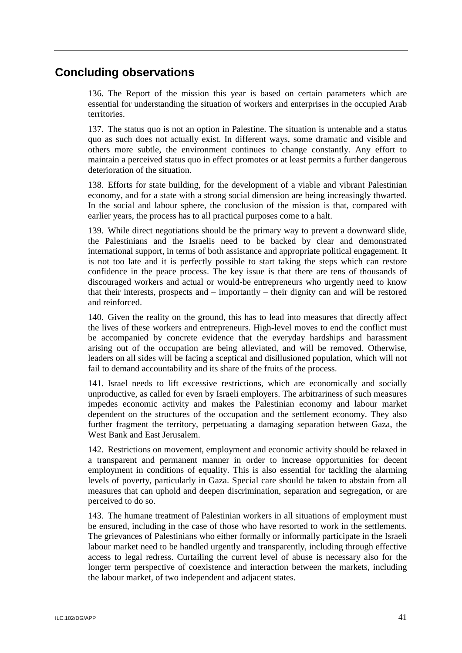# **Concluding observations**

136. The Report of the mission this year is based on certain parameters which are essential for understanding the situation of workers and enterprises in the occupied Arab territories.

137. The status quo is not an option in Palestine. The situation is untenable and a status quo as such does not actually exist. In different ways, some dramatic and visible and others more subtle, the environment continues to change constantly. Any effort to maintain a perceived status quo in effect promotes or at least permits a further dangerous deterioration of the situation.

138. Efforts for state building, for the development of a viable and vibrant Palestinian economy, and for a state with a strong social dimension are being increasingly thwarted. In the social and labour sphere, the conclusion of the mission is that, compared with earlier years, the process has to all practical purposes come to a halt.

139. While direct negotiations should be the primary way to prevent a downward slide, the Palestinians and the Israelis need to be backed by clear and demonstrated international support, in terms of both assistance and appropriate political engagement. It is not too late and it is perfectly possible to start taking the steps which can restore confidence in the peace process. The key issue is that there are tens of thousands of discouraged workers and actual or would-be entrepreneurs who urgently need to know that their interests, prospects and – importantly – their dignity can and will be restored and reinforced.

140. Given the reality on the ground, this has to lead into measures that directly affect the lives of these workers and entrepreneurs. High-level moves to end the conflict must be accompanied by concrete evidence that the everyday hardships and harassment arising out of the occupation are being alleviated, and will be removed. Otherwise, leaders on all sides will be facing a sceptical and disillusioned population, which will not fail to demand accountability and its share of the fruits of the process.

141. Israel needs to lift excessive restrictions, which are economically and socially unproductive, as called for even by Israeli employers. The arbitrariness of such measures impedes economic activity and makes the Palestinian economy and labour market dependent on the structures of the occupation and the settlement economy. They also further fragment the territory, perpetuating a damaging separation between Gaza, the West Bank and East Jerusalem.

142. Restrictions on movement, employment and economic activity should be relaxed in a transparent and permanent manner in order to increase opportunities for decent employment in conditions of equality. This is also essential for tackling the alarming levels of poverty, particularly in Gaza. Special care should be taken to abstain from all measures that can uphold and deepen discrimination, separation and segregation, or are perceived to do so.

143. The humane treatment of Palestinian workers in all situations of employment must be ensured, including in the case of those who have resorted to work in the settlements. The grievances of Palestinians who either formally or informally participate in the Israeli labour market need to be handled urgently and transparently, including through effective access to legal redress. Curtailing the current level of abuse is necessary also for the longer term perspective of coexistence and interaction between the markets, including the labour market, of two independent and adjacent states.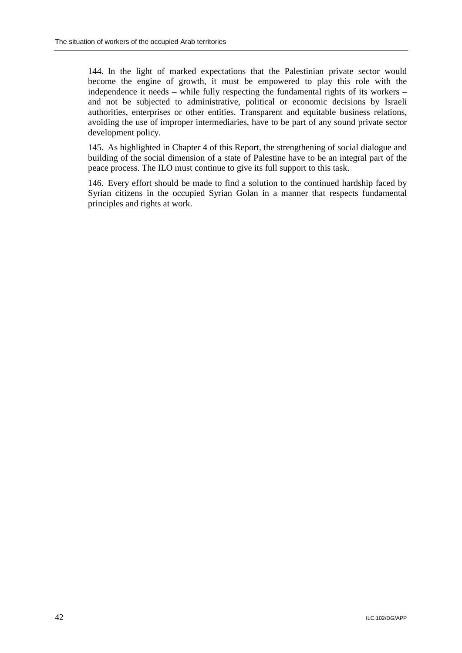144. In the light of marked expectations that the Palestinian private sector would become the engine of growth, it must be empowered to play this role with the independence it needs – while fully respecting the fundamental rights of its workers – and not be subjected to administrative, political or economic decisions by Israeli authorities, enterprises or other entities. Transparent and equitable business relations, avoiding the use of improper intermediaries, have to be part of any sound private sector development policy.

145. As highlighted in Chapter 4 of this Report, the strengthening of social dialogue and building of the social dimension of a state of Palestine have to be an integral part of the peace process. The ILO must continue to give its full support to this task.

146. Every effort should be made to find a solution to the continued hardship faced by Syrian citizens in the occupied Syrian Golan in a manner that respects fundamental principles and rights at work.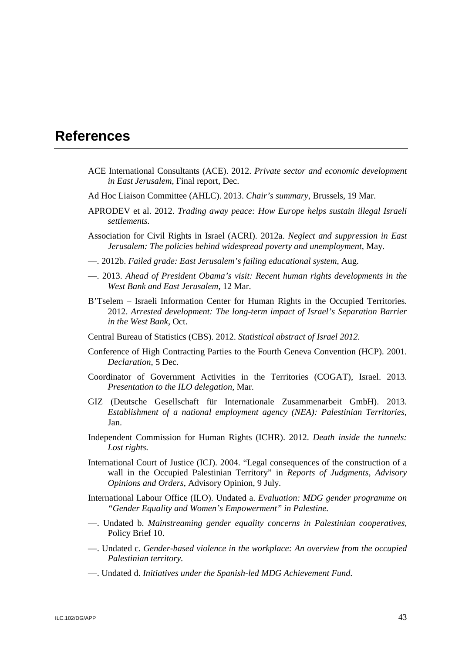# **References**

- ACE International Consultants (ACE). 2012. *Private sector and economic development in East Jerusalem*, Final report, Dec.
- Ad Hoc Liaison Committee (AHLC). 2013. *Chair's summary*, Brussels, 19 Mar.
- APRODEV et al. 2012. *Trading away peace: How Europe helps sustain illegal Israeli settlements.*
- Association for Civil Rights in Israel (ACRI). 2012a. *Neglect and suppression in East Jerusalem: The policies behind widespread poverty and unemployment*, May.
- —. 2012b. *Failed grade: East Jerusalem's failing educational system*, Aug.
- —. 2013. *Ahead of President Obama's visit: Recent human rights developments in the West Bank and East Jerusalem*, 12 Mar.
- B'Tselem Israeli Information Center for Human Rights in the Occupied Territories. 2012. *Arrested development: The long-term impact of Israel's Separation Barrier in the West Bank*, Oct.
- Central Bureau of Statistics (CBS). 2012. *Statistical abstract of Israel 2012.*
- Conference of High Contracting Parties to the Fourth Geneva Convention (HCP). 2001. *Declaration*, 5 Dec.
- Coordinator of Government Activities in the Territories (COGAT), Israel. 2013. *Presentation to the ILO delegation,* Mar.
- GIZ (Deutsche Gesellschaft für Internationale Zusammenarbeit GmbH). 2013. *Establishment of a national employment agency (NEA): Palestinian Territories*, Jan.
- Independent Commission for Human Rights (ICHR). 2012. *Death inside the tunnels: Lost rights.*
- International Court of Justice (ICJ). 2004. "Legal consequences of the construction of a wall in the Occupied Palestinian Territory" in *Reports of Judgments, Advisory Opinions and Orders*, Advisory Opinion, 9 July.
- International Labour Office (ILO). Undated a. *Evaluation: MDG gender programme on "Gender Equality and Women's Empowerment" in Palestine.*
- —. Undated b. *Mainstreaming gender equality concerns in Palestinian cooperatives,*  Policy Brief 10.
- —. Undated c. *Gender-based violence in the workplace: An overview from the occupied Palestinian territory.*
- —. Undated d. *Initiatives under the Spanish-led MDG Achievement Fund.*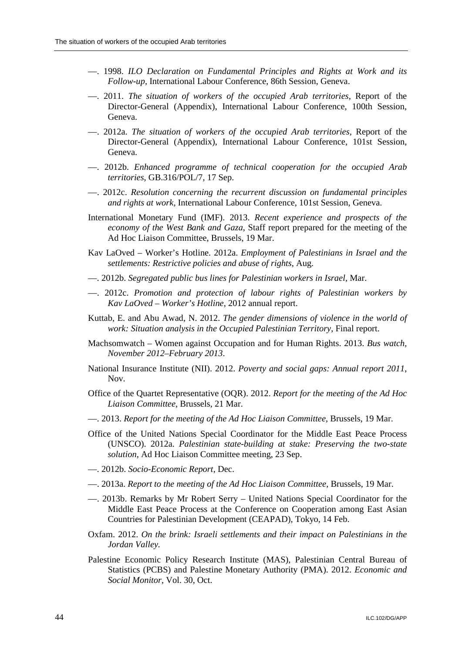- —. 1998. *ILO Declaration on Fundamental Principles and Rights at Work and its Follow-up*, International Labour Conference, 86th Session, Geneva.
- —. 2011. *The situation of workers of the occupied Arab territories,* Report of the Director-General (Appendix), International Labour Conference, 100th Session, Geneva.
- —. 2012a. *The situation of workers of the occupied Arab territories,* Report of the Director-General (Appendix), International Labour Conference, 101st Session, Geneva.
- —. 2012b. *Enhanced programme of technical cooperation for the occupied Arab territories*, GB.316/POL/7, 17 Sep.
- —. 2012c. *Resolution concerning the recurrent discussion on fundamental principles and rights at work*, International Labour Conference, 101st Session, Geneva.
- International Monetary Fund (IMF). 2013. *Recent experience and prospects of the economy of the West Bank and Gaza*, Staff report prepared for the meeting of the Ad Hoc Liaison Committee, Brussels, 19 Mar.
- Kav LaOved Worker's Hotline. 2012a. *Employment of Palestinians in Israel and the settlements: Restrictive policies and abuse of rights*, Aug.
- —. 2012b. *Segregated public bus lines for Palestinian workers in Israel*, Mar.
- —. 2012c. *Promotion and protection of labour rights of Palestinian workers by Kav LaOved – Worker's Hotline*, 2012 annual report.
- Kuttab, E. and Abu Awad, N. 2012. *The gender dimensions of violence in the world of work: Situation analysis in the Occupied Palestinian Territory*, Final report.
- Machsomwatch Women against Occupation and for Human Rights. 2013. *Bus watch, November 2012–February 2013*.
- National Insurance Institute (NII). 2012. *Poverty and social gaps: Annual report 2011*, Nov.
- Office of the Quartet Representative (OQR). 2012. *Report for the meeting of the Ad Hoc Liaison Committee*, Brussels, 21 Mar.
- —. 2013. *Report for the meeting of the Ad Hoc Liaison Committee*, Brussels, 19 Mar.
- Office of the United Nations Special Coordinator for the Middle East Peace Process (UNSCO). 2012a. *Palestinian state-building at stake: Preserving the two-state solution*, Ad Hoc Liaison Committee meeting, 23 Sep.
- —. 2012b. *Socio-Economic Report*, Dec.
- —. 2013a. *Report to the meeting of the Ad Hoc Liaison Committee*, Brussels, 19 Mar.
- —. 2013b. Remarks by Mr Robert Serry United Nations Special Coordinator for the Middle East Peace Process at the Conference on Cooperation among East Asian Countries for Palestinian Development (CEAPAD), Tokyo, 14 Feb.
- Oxfam. 2012. *On the brink: Israeli settlements and their impact on Palestinians in the Jordan Valley.*
- Palestine Economic Policy Research Institute (MAS), Palestinian Central Bureau of Statistics (PCBS) and Palestine Monetary Authority (PMA). 2012. *Economic and Social Monitor*, Vol. 30, Oct.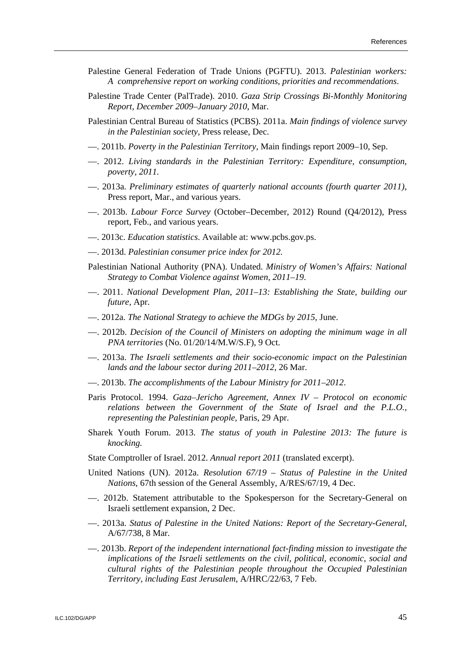- Palestine General Federation of Trade Unions (PGFTU). 2013. *Palestinian workers: A comprehensive report on working conditions, priorities and recommendations*.
- Palestine Trade Center (PalTrade). 2010. *Gaza Strip Crossings Bi-Monthly Monitoring Report, December 2009–January 2010*, Mar.
- Palestinian Central Bureau of Statistics (PCBS). 2011a. *Main findings of violence survey in the Palestinian society,* Press release, Dec.
- —. 2011b. *Poverty in the Palestinian Territory,* Main findings report 2009–10, Sep.
- —. 2012. *Living standards in the Palestinian Territory: Expenditure, consumption, poverty, 2011.*
- —. 2013a. *Preliminary estimates of quarterly national accounts (fourth quarter 2011)*, Press report, Mar., and various years.
- —. 2013b. *Labour Force Survey* (October–December, 2012) Round (Q4/2012), Press report, Feb., and various years.
- —. 2013c. *Education statistics*. Available at: www.pcbs.gov.ps.
- —. 2013d. *Palestinian consumer price index for 2012.*
- Palestinian National Authority (PNA). Undated. *Ministry of Women's Affairs: National Strategy to Combat Violence against Women, 2011–19*.
- —. 2011. *National Development Plan, 2011–13: Establishing the State, building our future,* Apr.
- —. 2012a. *The National Strategy to achieve the MDGs by 2015*, June.
- —. 2012b. *Decision of the Council of Ministers on adopting the minimum wage in all PNA territories* (No. 01/20/14/M.W/S.F), 9 Oct.
- —. 2013a. *The Israeli settlements and their socio-economic impact on the Palestinian lands and the labour sector during 2011–2012*, 26 Mar.
- —. 2013b. *The accomplishments of the Labour Ministry for 2011–2012*.
- Paris Protocol. 1994. *Gaza–Jericho Agreement, Annex IV Protocol on economic relations between the Government of the State of Israel and the P.L.O., representing the Palestinian people,* Paris, 29 Apr.
- Sharek Youth Forum. 2013. *The status of youth in Palestine 2013: The future is knocking.*
- State Comptroller of Israel. 2012. *Annual report 2011* (translated excerpt).
- United Nations (UN). 2012a. *Resolution 67/19 Status of Palestine in the United Nations*, 67th session of the General Assembly, A/RES/67/19, 4 Dec.
- —. 2012b. Statement attributable to the Spokesperson for the Secretary-General on Israeli settlement expansion, 2 Dec.
- —. 2013a. *Status of Palestine in the United Nations: Report of the Secretary-General*, A/67/738, 8 Mar.
- —. 2013b. *Report of the independent international fact-finding mission to investigate the implications of the Israeli settlements on the civil, political, economic, social and cultural rights of the Palestinian people throughout the Occupied Palestinian Territory, including East Jerusalem*, A/HRC/22/63, 7 Feb.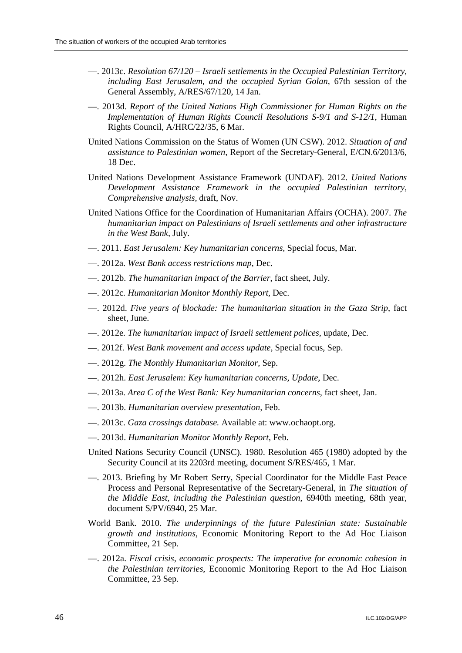- —. 2013c. *Resolution 67/120 Israeli settlements in the Occupied Palestinian Territory, including East Jerusalem, and the occupied Syrian Golan*, 67th session of the General Assembly, A/RES/67/120, 14 Jan.
- —. 2013d. *Report of the United Nations High Commissioner for Human Rights on the Implementation of Human Rights Council Resolutions S-9/1 and S-12/1*, Human Rights Council, A/HRC/22/35, 6 Mar.
- United Nations Commission on the Status of Women (UN CSW). 2012. *Situation of and assistance to Palestinian women*, Report of the Secretary-General, E/CN.6/2013/6, 18 Dec.
- United Nations Development Assistance Framework (UNDAF). 2012. *United Nations Development Assistance Framework in the occupied Palestinian territory, Comprehensive analysis,* draft, Nov.
- United Nations Office for the Coordination of Humanitarian Affairs (OCHA). 2007. *The humanitarian impact on Palestinians of Israeli settlements and other infrastructure in the West Bank*, July.
- —. 2011. *East Jerusalem: Key humanitarian concerns,* Special focus, Mar.
- —. 2012a. *West Bank access restrictions map*, Dec.
- —. 2012b. *The humanitarian impact of the Barrier*, fact sheet, July.
- —. 2012c. *Humanitarian Monitor Monthly Report,* Dec.
- —. 2012d. *Five years of blockade: The humanitarian situation in the Gaza Strip*, fact sheet, June.
- —. 2012e. *The humanitarian impact of Israeli settlement polices,* update, Dec.
- —. 2012f. *West Bank movement and access update,* Special focus, Sep.
- —. 2012g. *The Monthly Humanitarian Monitor,* Sep.
- —. 2012h. *East Jerusalem: Key humanitarian concerns, Update*, Dec.
- —. 2013a. *Area C of the West Bank: Key humanitarian concerns*, fact sheet, Jan.
- —. 2013b. *Humanitarian overview presentation,* Feb.
- —. 2013c. *Gaza crossings database.* Available at: www.ochaopt.org.
- —. 2013d. *Humanitarian Monitor Monthly Report*, Feb.
- United Nations Security Council (UNSC). 1980. Resolution 465 (1980) adopted by the Security Council at its 2203rd meeting, document S/RES/465, 1 Mar.
- —. 2013. Briefing by Mr Robert Serry, Special Coordinator for the Middle East Peace Process and Personal Representative of the Secretary-General, in *The situation of the Middle East, including the Palestinian question*, 6940th meeting, 68th year, document S/PV/6940, 25 Mar.
- World Bank. 2010. *The underpinnings of the future Palestinian state: Sustainable growth and institutions*, Economic Monitoring Report to the Ad Hoc Liaison Committee, 21 Sep.
- —. 2012a. *Fiscal crisis, economic prospects: The imperative for economic cohesion in the Palestinian territories*, Economic Monitoring Report to the Ad Hoc Liaison Committee, 23 Sep.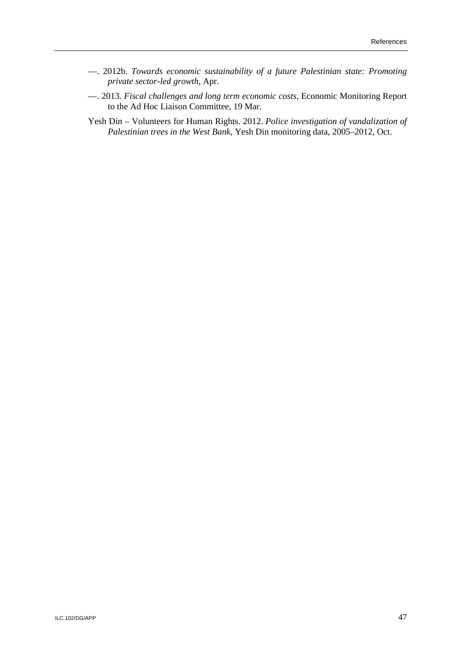- —. 2012b. *Towards economic sustainability of a future Palestinian state: Promoting private sector-led growth*, Apr.
- —. 2013. *Fiscal challenges and long term economic costs*, Economic Monitoring Report to the Ad Hoc Liaison Committee, 19 Mar.
- Yesh Din Volunteers for Human Rights. 2012. *Police investigation of vandalization of Palestinian trees in the West Bank,* Yesh Din monitoring data, 2005–2012, Oct.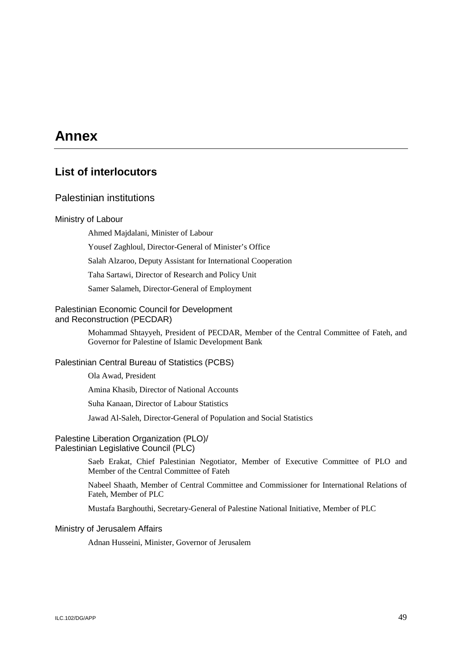# **Annex**

# **List of interlocutors**

### Palestinian institutions

#### Ministry of Labour

Ahmed Majdalani, Minister of Labour

Yousef Zaghloul, Director-General of Minister's Office

Salah Alzaroo, Deputy Assistant for International Cooperation

Taha Sartawi, Director of Research and Policy Unit

Samer Salameh, Director-General of Employment

#### Palestinian Economic Council for Development and Reconstruction (PECDAR)

Mohammad Shtayyeh, President of PECDAR, Member of the Central Committee of Fateh, and Governor for Palestine of Islamic Development Bank

#### Palestinian Central Bureau of Statistics (PCBS)

Ola Awad, President

Amina Khasib, Director of National Accounts

Suha Kanaan, Director of Labour Statistics

Jawad Al-Saleh, Director-General of Population and Social Statistics

### Palestine Liberation Organization (PLO)/ Palestinian Legislative Council (PLC)

Saeb Erakat, Chief Palestinian Negotiator, Member of Executive Committee of PLO and Member of the Central Committee of Fateh

Nabeel Shaath, Member of Central Committee and Commissioner for International Relations of Fateh, Member of PLC

Mustafa Barghouthi, Secretary-General of Palestine National Initiative, Member of PLC

#### Ministry of Jerusalem Affairs

Adnan Husseini, Minister, Governor of Jerusalem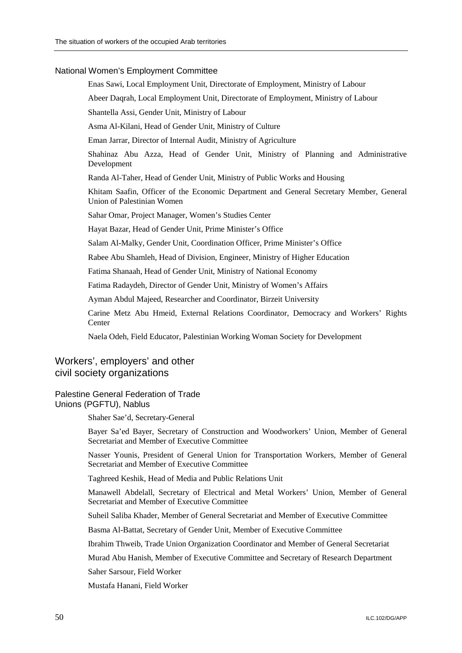### National Women's Employment Committee

Enas Sawi, Local Employment Unit, Directorate of Employment, Ministry of Labour

Abeer Daqrah, Local Employment Unit, Directorate of Employment, Ministry of Labour

Shantella Assi, Gender Unit, Ministry of Labour

Asma Al-Kilani, Head of Gender Unit, Ministry of Culture

Eman Jarrar, Director of Internal Audit, Ministry of Agriculture

Shahinaz Abu Azza, Head of Gender Unit, Ministry of Planning and Administrative Development

Randa Al-Taher, Head of Gender Unit, Ministry of Public Works and Housing

Khitam Saafin, Officer of the Economic Department and General Secretary Member, General Union of Palestinian Women

Sahar Omar, Project Manager, Women's Studies Center

Hayat Bazar, Head of Gender Unit, Prime Minister's Office

Salam Al-Malky, Gender Unit, Coordination Officer, Prime Minister's Office

Rabee Abu Shamleh, Head of Division, Engineer, Ministry of Higher Education

Fatima Shanaah, Head of Gender Unit, Ministry of National Economy

Fatima Radaydeh, Director of Gender Unit, Ministry of Women's Affairs

Ayman Abdul Majeed, Researcher and Coordinator, Birzeit University

Carine Metz Abu Hmeid, External Relations Coordinator, Democracy and Workers' Rights **Center** 

Naela Odeh, Field Educator, Palestinian Working Woman Society for Development

### Workers', employers' and other civil society organizations

### Palestine General Federation of Trade Unions (PGFTU), Nablus

Shaher Sae'd, Secretary-General

Bayer Sa'ed Bayer, Secretary of Construction and Woodworkers' Union, Member of General Secretariat and Member of Executive Committee

Nasser Younis, President of General Union for Transportation Workers, Member of General Secretariat and Member of Executive Committee

Taghreed Keshik, Head of Media and Public Relations Unit

Manawell Abdelall, Secretary of Electrical and Metal Workers' Union, Member of General Secretariat and Member of Executive Committee

Suheil Saliba Khader, Member of General Secretariat and Member of Executive Committee

Basma Al-Battat, Secretary of Gender Unit, Member of Executive Committee

Ibrahim Thweib, Trade Union Organization Coordinator and Member of General Secretariat

Murad Abu Hanish, Member of Executive Committee and Secretary of Research Department

Saher Sarsour, Field Worker

Mustafa Hanani, Field Worker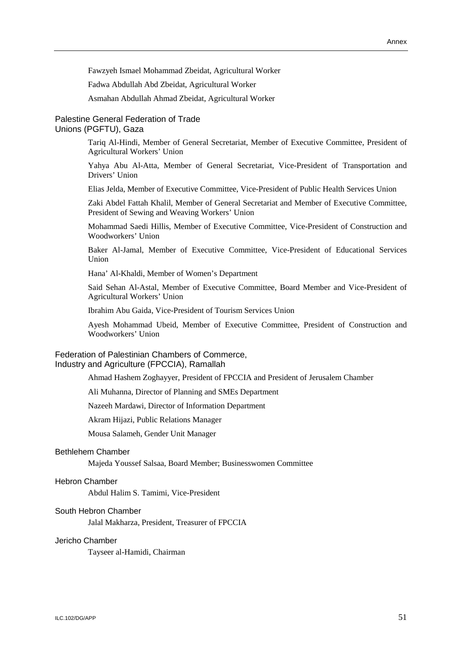Fawzyeh Ismael Mohammad Zbeidat, Agricultural Worker

Fadwa Abdullah Abd Zbeidat, Agricultural Worker

Asmahan Abdullah Ahmad Zbeidat, Agricultural Worker

#### Palestine General Federation of Trade Unions (PGFTU), Gaza

Tariq Al-Hindi, Member of General Secretariat, Member of Executive Committee, President of Agricultural Workers' Union

Yahya Abu Al-Atta, Member of General Secretariat, Vice-President of Transportation and Drivers' Union

Elias Jelda, Member of Executive Committee, Vice-President of Public Health Services Union

Zaki Abdel Fattah Khalil, Member of General Secretariat and Member of Executive Committee, President of Sewing and Weaving Workers' Union

Mohammad Saedi Hillis, Member of Executive Committee, Vice-President of Construction and Woodworkers' Union

Baker Al-Jamal, Member of Executive Committee, Vice-President of Educational Services Union

Hana' Al-Khaldi, Member of Women's Department

Said Sehan Al-Astal, Member of Executive Committee, Board Member and Vice-President of Agricultural Workers' Union

Ibrahim Abu Gaida, Vice-President of Tourism Services Union

Ayesh Mohammad Ubeid, Member of Executive Committee, President of Construction and Woodworkers' Union

#### Federation of Palestinian Chambers of Commerce, Industry and Agriculture (FPCCIA), Ramallah

Ahmad Hashem Zoghayyer, President of FPCCIA and President of Jerusalem Chamber

Ali Muhanna, Director of Planning and SMEs Department

Nazeeh Mardawi, Director of Information Department

Akram Hijazi, Public Relations Manager

Mousa Salameh, Gender Unit Manager

#### Bethlehem Chamber

Majeda Youssef Salsaa, Board Member; Businesswomen Committee

#### Hebron Chamber

Abdul Halim S. Tamimi, Vice-President

### South Hebron Chamber

Jalal Makharza, President, Treasurer of FPCCIA

#### Jericho Chamber

Tayseer al-Hamidi, Chairman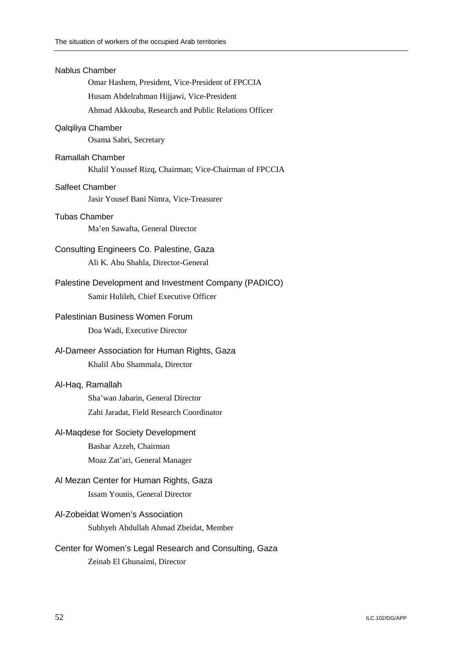| <b>Nablus Chamber</b><br>Omar Hashem, President, Vice-President of FPCCIA                       |  |
|-------------------------------------------------------------------------------------------------|--|
| Husam Abdelrahman Hijjawi, Vice-President                                                       |  |
| Ahmad Akkouba, Research and Public Relations Officer                                            |  |
|                                                                                                 |  |
| Qalqiliya Chamber<br>Osama Sabri, Secretary                                                     |  |
| <b>Ramallah Chamber</b><br>Khalil Youssef Rizq, Chairman; Vice-Chairman of FPCCIA               |  |
| <b>Salfeet Chamber</b><br>Jasir Yousef Bani Nimra, Vice-Treasurer                               |  |
| Tubas Chamber<br>Ma'en Sawafta, General Director                                                |  |
| Consulting Engineers Co. Palestine, Gaza<br>Ali K. Abu Shahla, Director-General                 |  |
| Palestine Development and Investment Company (PADICO)<br>Samir Hulileh, Chief Executive Officer |  |
| Palestinian Business Women Forum<br>Doa Wadi, Executive Director                                |  |
| Al-Dameer Association for Human Rights, Gaza<br>Khalil Abu Shammala, Director                   |  |
| Al-Haq, Ramallah                                                                                |  |
| Sha'wan Jabarin, General Director<br>Zahi Jaradat, Field Research Coordinator                   |  |
| Al-Maqdese for Society Development                                                              |  |
| Bashar Azzeh, Chairman                                                                          |  |
| Moaz Zat'ari, General Manager                                                                   |  |
| Al Mezan Center for Human Rights, Gaza                                                          |  |
| Issam Younis, General Director                                                                  |  |
| Al-Zobeidat Women's Association<br>Subhyeh Abdullah Ahmad Zbeidat, Member                       |  |
|                                                                                                 |  |
| Center for Women's Legal Research and Consulting, Gaza<br>Zeinab El Ghunaimi, Director          |  |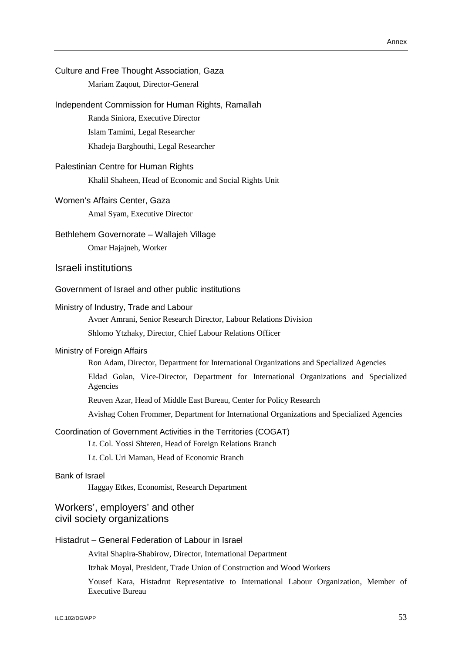| Culture and Free Thought Association, Gaza<br>Mariam Zaqout, Director-General                                                |
|------------------------------------------------------------------------------------------------------------------------------|
| Independent Commission for Human Rights, Ramallah                                                                            |
| Randa Siniora, Executive Director                                                                                            |
| Islam Tamimi, Legal Researcher                                                                                               |
| Khadeja Barghouthi, Legal Researcher                                                                                         |
| Palestinian Centre for Human Rights                                                                                          |
| Khalil Shaheen, Head of Economic and Social Rights Unit                                                                      |
| Women's Affairs Center, Gaza                                                                                                 |
| Amal Syam, Executive Director                                                                                                |
| Bethlehem Governorate - Wallajeh Village                                                                                     |
| Omar Hajajneh, Worker                                                                                                        |
| Israeli institutions                                                                                                         |
| Government of Israel and other public institutions                                                                           |
| Ministry of Industry, Trade and Labour                                                                                       |
| Avner Amrani, Senior Research Director, Labour Relations Division                                                            |
| Shlomo Ytzhaky, Director, Chief Labour Relations Officer                                                                     |
| Ministry of Foreign Affairs                                                                                                  |
| Ron Adam, Director, Department for International Organizations and Specialized Agencies                                      |
| Eldad Golan, Vice-Director, Department for International Organizations and Specialized<br>Agencies                           |
| Reuven Azar, Head of Middle East Bureau, Center for Policy Research                                                          |
| Avishag Cohen Frommer, Department for International Organizations and Specialized Agencies                                   |
| Coordination of Government Activities in the Territories (COGAT)<br>Lt. Col. Yossi Shteren, Head of Foreign Relations Branch |
| Lt. Col. Uri Maman, Head of Economic Branch                                                                                  |
| Bank of Israel<br>Haggay Etkes, Economist, Research Department                                                               |
| Workers', employers' and other<br>civil society organizations                                                                |
| Histadrut - General Federation of Labour in Israel                                                                           |
| Avital Shapira-Shabirow, Director, International Department                                                                  |
| Itzhak Moyal, President, Trade Union of Construction and Wood Workers                                                        |
| Yousef Kara Histadrut Representative to International Labour Organization Member of                                          |

Yousef Kara, Histadrut Representative to International Labour Organization, Member of Executive Bureau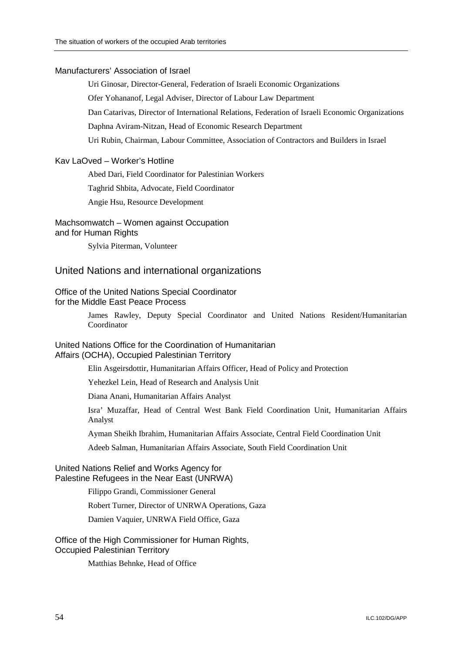#### Manufacturers' Association of Israel

Uri Ginosar, Director-General, Federation of Israeli Economic Organizations

Ofer Yohananof, Legal Adviser, Director of Labour Law Department

Dan Catarivas, Director of International Relations, Federation of Israeli Economic Organizations

Daphna Aviram-Nitzan, Head of Economic Research Department

Uri Rubin, Chairman, Labour Committee, Association of Contractors and Builders in Israel

#### Kav LaOved – Worker's Hotline

Abed Dari, Field Coordinator for Palestinian Workers

Taghrid Shbita, Advocate, Field Coordinator

Angie Hsu, Resource Development

# Machsomwatch – Women against Occupation

# and for Human Rights

Sylvia Piterman, Volunteer

### United Nations and international organizations

#### Office of the United Nations Special Coordinator for the Middle East Peace Process

James Rawley, Deputy Special Coordinator and United Nations Resident/Humanitarian Coordinator

### United Nations Office for the Coordination of Humanitarian Affairs (OCHA), Occupied Palestinian Territory

Elin Asgeirsdottir, Humanitarian Affairs Officer, Head of Policy and Protection

Yehezkel Lein, Head of Research and Analysis Unit

Diana Anani, Humanitarian Affairs Analyst

Isra' Muzaffar, Head of Central West Bank Field Coordination Unit, Humanitarian Affairs Analyst

Ayman Sheikh Ibrahim, Humanitarian Affairs Associate, Central Field Coordination Unit

Adeeb Salman, Humanitarian Affairs Associate, South Field Coordination Unit

#### United Nations Relief and Works Agency for Palestine Refugees in the Near East (UNRWA)

Filippo Grandi, Commissioner General

Robert Turner, Director of UNRWA Operations, Gaza

Damien Vaquier, UNRWA Field Office, Gaza

#### Office of the High Commissioner for Human Rights, Occupied Palestinian Territory

Matthias Behnke, Head of Office